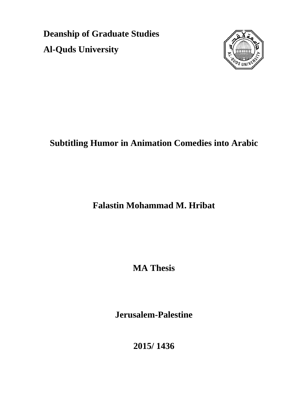**Deanship of Graduate Studies Al-Quds University**



## **Subtitling Humor in Animation Comedies into Arabic**

**Falastin Mohammad M. Hribat**

**MA Thesis**

**Jerusalem-Palestine**

**2015/ 1436**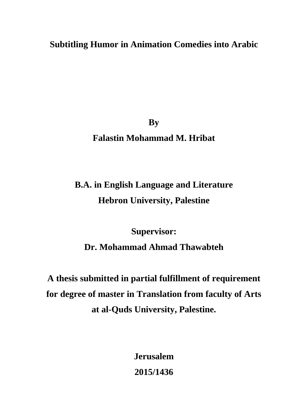**Subtitling Humor in Animation Comedies into Arabic**

**By Falastin Mohammad M. Hribat**

# **B.A. in English Language and Literature Hebron University, Palestine**

**Supervisor: Dr. Mohammad Ahmad Thawabteh**

**A thesis submitted in partial fulfillment of requirement for degree of master in Translation from faculty of Arts at al-Quds University, Palestine.**

> **Jerusalem 2015/1436**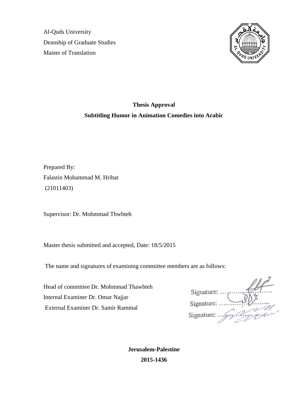Al-Quds University Deanship of Graduate Studies Master of Translation



## **Thesis Approval Subtitling Humor in Animation Comedies into Arabic**

Prepared By: Falastin Mohammad M. Hribat (21011403)

Supervisor: Dr. Mohmmad Thwbteh

Master thesis submitted and accepted, Date: 18/5/2015

The name and signatures of examining committee members are as follows:

Head of committee Dr. Mohmmad Thawbteh Internal Examiner Dr. Omar Najjar External Examiner Dr. Samir Rammal

Signature: ..., Signature: .... rigge Signature: ... $\frac{1}{2}$ 

**Jerusalem-Palestine 2015-1436**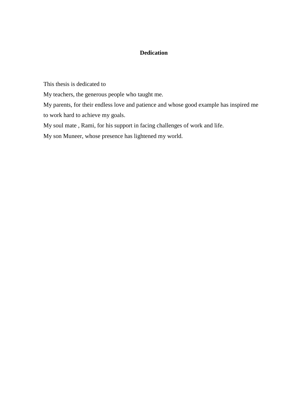## **Dedication**

This thesis is dedicated to

My teachers, the generous people who taught me.

My parents, for their endless love and patience and whose good example has inspired me to work hard to achieve my goals.

My soul mate , Rami, for his support in facing challenges of work and life.

My son Muneer, whose presence has lightened my world.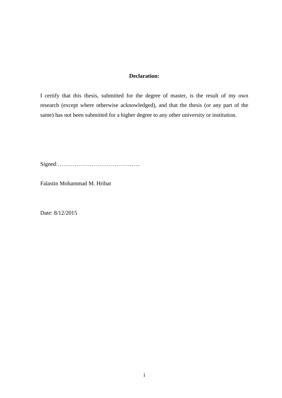## **Declaration:**

I certify that this thesis, submitted for the degree of master, is the result of my own research (except where otherwise acknowledged), and that the thesis (or any part of the same) has not been submitted for a higher degree to any other university or institution.

Signed:……………………………………..

Falastin Mohammad M. Hribat

Date: 8/12/2015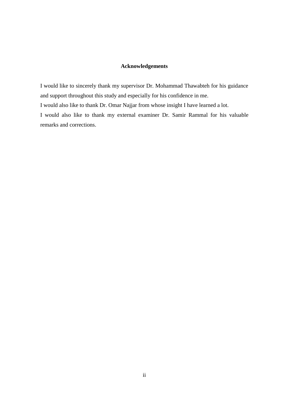## **Acknowledgements**

I would like to sincerely thank my supervisor Dr. Mohammad Thawabteh for his guidance and support throughout this study and especially for his confidence in me.

I would also like to thank Dr. Omar Najjar from whose insight I have learned a lot.

I would also like to thank my external examiner Dr. Samir Rammal for his valuable remarks and corrections.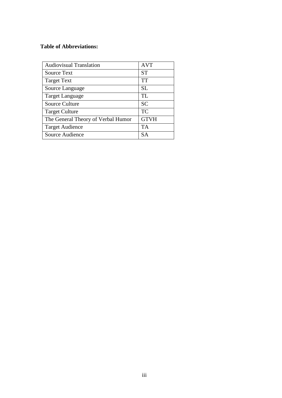## **Table of Abbreviations:**

| <b>Audiovisual Translation</b>     | <b>AVT</b>  |
|------------------------------------|-------------|
| Source Text                        | <b>ST</b>   |
| <b>Target Text</b>                 | TT          |
| Source Language                    | <b>SL</b>   |
| Target Language                    | TL          |
| <b>Source Culture</b>              | <b>SC</b>   |
| <b>Target Culture</b>              | <b>TC</b>   |
| The General Theory of Verbal Humor | <b>GTVH</b> |
| <b>Target Audience</b>             | TA          |
| Source Audience                    | SΔ          |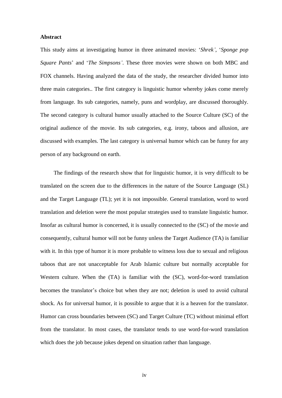#### **Abstract**

This study aims at investigating humor in three animated movies: "*Shrek'*, "*Sponge pop Square Pants*" and "*The Simpsons'*. These three movies were shown on both MBC and FOX channels. Having analyzed the data of the study, the researcher divided humor into three main categories.. The first category is linguistic humor whereby jokes come merely from language. Its sub categories, namely, puns and wordplay, are discussed thoroughly. The second category is cultural humor usually attached to the Source Culture (SC) of the original audience of the movie. Its sub categories, e.g. irony, taboos and allusion, are discussed with examples. The last category is universal humor which can be funny for any person of any background on earth.

The findings of the research show that for linguistic humor, it is very difficult to be translated on the screen due to the differences in the nature of the Source Language (SL) and the Target Language (TL); yet it is not impossible. General translation, word to word translation and deletion were the most popular strategies used to translate linguistic humor. Insofar as cultural humor is concerned, it is usually connected to the (SC) of the movie and consequently, cultural humor will not be funny unless the Target Audience (TA) is familiar with it. In this type of humor it is more probable to witness loss due to sexual and religious taboos that are not unacceptable for Arab Islamic culture but normally acceptable for Western culture. When the (TA) is familiar with the (SC), word-for-word translation becomes the translator's choice but when they are not; deletion is used to avoid cultural shock. As for universal humor, it is possible to argue that it is a heaven for the translator. Humor can cross boundaries between (SC) and Target Culture (TC) without minimal effort from the translator. In most cases, the translator tends to use word-for-word translation which does the job because jokes depend on situation rather than language.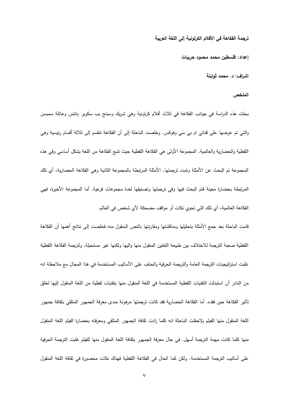**ترجمة الفكاهة في األفالم الكرتونية إلى المغة العربية**

**إعداد: فمسطين محمد محمود حريبات**

**اشراف: د. محمد ثوابتة**

#### ا**لملخص**

بحثت ىذه الدراسة في جوانب الفكاىة في ثالث أفالم كرتونية وىي شريك وسبنج بب سكوير بانتس وعائمة سمبسن والتي تم عرضها على قناتي ام بي سي وفوكس. وخلصت الباحثة إلى أن الفكاهة تنقسم إلى ثلاثة أقسام رئيسية وهي اللفظية والحضارية والعالمية. المجموعة الأولى هي الفكاهة اللفظية حيث نتبع الفكاهة من اللغة بشكل أساسي وفي هذه المجموعة تم البحث عن الأمثلة وتمت ترجمتها. الأمثلة المرتبطة بالمجموعة الثانية وهي الفكاهة الحضارية، أي تلك المرتبطة بحضارة معينة فتم البحث فييا وفي ترجمتيا وتصنيفيا لعدة مجموعات فرعية. أما المجموعة األخيرة، فيي الفكاهة العالمية، أي تلك التي تحوي نكات أو مواقف مضحكة لأي شخص في العالم.

قامت الباحثة بعد جمع الأمثلة بتحليلها ومناقشتها ومقارنتها بالنص المنقول منه فخلصت إلى نتائج أهمها أن الفكاهة اللفظية صعبة الترجمة للاختلاف بين طبيعة اللغتين المنقول منها واليها ولكنها غير مستحيلة. ولترجمة الفكاهة اللفظية غلبت استراتيجيات الترجمة العامة والترجمة الحرفية والحذف على الأساليب المستخدمة في هذا المجال مع ملاحظة انه من النادر أن استبدلت التقنيات اللفظية المستخدمة في اللغة المنقول منها بتقنيات لفظية من اللغة المنقول إليها لخلق تأثير الفكاىة حين فقده. أما الفكاىة الحضارية فقد كانت ترجمتيا مرىونة بمدى معرفة الجميور المتمقي بثقافة جميور اللغة المنقول منها للفيلم ولاحظت الباحثة انه كلما زادت ثقافة الجمهور المتلقي ومعرفته بحضارة الفيلم اللغة المنقول منها كلما كانت مهمة الترجمة أسهل. في حال معرفة الجمهور بثقافة اللغة المنقول منها للفيلم غلبت الترجمة الحرفية على أساليب الترجمة المستخدمة. ولكن كما الحال في الفكاهة اللفظية فهناك نكات محصورة في ثقافة اللغة المنقول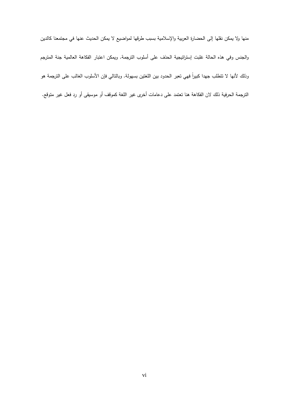منيا وال يمكن نقميا إلى الحضارة العربية واإلسالمية بسبب طرقيا لمواضيع ال يمكن الحديث عنيا في مجتمعنا كالدين والجنس وفي هذه الحالة غلبت إستراتيجية الحذف على أسلوب الترجمة. ويمكن اعتبار الفكاهة العالمية جنة المترجم رناك لانها لا تتطلب جهدا كبيرا فهي تعبر الحدود بين اللغتين بسهولة. وبالتالي فإن الاسلوب الغالب على الترجمة هو الترجمة الحرفية ذلك لان الفكاهة هنا تعتمد على دعامات أخرى غير اللغة كموقف أو موسيقى أو رد فعل غير متوقع.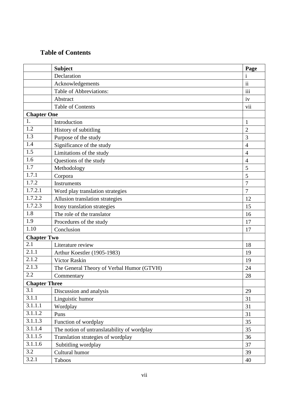## **Table of Contents**

|                    | <b>Subject</b>                              | Page           |  |
|--------------------|---------------------------------------------|----------------|--|
|                    | Declaration                                 | $\mathbf{i}$   |  |
|                    | Acknowledgements                            | $\mathbf{ii}$  |  |
|                    | Table of Abbreviations:                     | iii            |  |
|                    | Abstract                                    | iv             |  |
|                    | <b>Table of Contents</b>                    | vii            |  |
| <b>Chapter One</b> |                                             |                |  |
| 1.                 | Introduction                                | $\mathbf{1}$   |  |
| 1.2                | History of subtitling                       | $\overline{2}$ |  |
| $\overline{1.3}$   | Purpose of the study                        | 3              |  |
| 1.4                | Significance of the study                   | $\overline{4}$ |  |
| 1.5                | Limitations of the study                    | $\overline{4}$ |  |
| 1.6                | Questions of the study                      | $\overline{4}$ |  |
| 1.7                | Methodology                                 | 5              |  |
| 1.7.1              | Corpora                                     | 5              |  |
| 1.7.2              | <b>Instruments</b>                          | $\overline{7}$ |  |
| 1.7.2.1            | Word play translation strategies            | $\overline{7}$ |  |
| 1.7.2.2            | Allusion translation strategies             | 12             |  |
| 1.7.2.3            | Irony translation strategies                | 15             |  |
| 1.8                | The role of the translator                  | 16             |  |
| 1.9                | Procedures of the study                     | 17             |  |
| 1.10               | Conclusion                                  | 17             |  |
| <b>Chapter Two</b> |                                             |                |  |
| $\overline{2.1}$   | Literature review                           | 18             |  |
| 2.1.1              | Arthur Koestler (1905-1983)                 | 19             |  |
| 2.1.2              | <b>Victor Raskin</b>                        | 19             |  |
| 2.1.3              | The General Theory of Verbal Humor (GTVH)   | 24             |  |
| 2.2                | Commentary                                  | $28\,$         |  |
|                    | <b>Chapter Three</b>                        |                |  |
| 3.1                | Discussion and analysis                     | 29             |  |
| 3.1.1              | Linguistic humor                            | 31             |  |
| 3.1.1.1            | Wordplay                                    | 31             |  |
| 3.1.1.2            | Puns                                        | 31             |  |
| 3.1.1.3            | Function of wordplay                        | 35             |  |
| 3.1.1.4            | The notion of untranslatability of wordplay | 35             |  |
| 3.1.1.5            | Translation strategies of wordplay          | 36             |  |
| 3.1.1.6            | Subtitling wordplay                         | 37             |  |
| 3.2                | Cultural humor                              | 39             |  |
| 3.2.1              | Taboos                                      | 40             |  |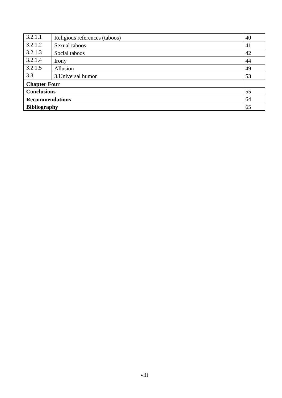| 3.2.1.1                | Religious references (taboos) | 40 |
|------------------------|-------------------------------|----|
| 3.2.1.2                | Sexual taboos                 | 41 |
| 3.2.1.3                | Social taboos                 | 42 |
| 3.2.1.4                | Irony                         | 44 |
| 3.2.1.5                | Allusion                      | 49 |
| 3.3                    | 3. Universal humor            | 53 |
| <b>Chapter Four</b>    |                               |    |
| <b>Conclusions</b>     |                               | 55 |
| <b>Recommendations</b> |                               | 64 |
| <b>Bibliography</b>    |                               | 65 |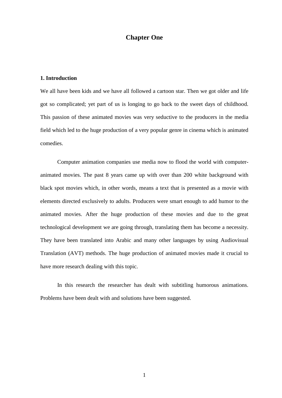## **Chapter One**

## **1. Introduction**

We all have been kids and we have all followed a cartoon star. Then we got older and life got so complicated; yet part of us is longing to go back to the sweet days of childhood. This passion of these animated movies was very seductive to the producers in the media field which led to the huge production of a very popular genre in cinema which is animated comedies.

Computer animation companies use media now to flood the world with computeranimated movies. The past 8 years came up with over than 200 white background with black spot movies which, in other words, means a text that is presented as a movie with elements directed exclusively to adults. Producers were smart enough to add humor to the animated movies. After the huge production of these movies and due to the great technological development we are going through, translating them has become a necessity. They have been translated into Arabic and many other languages by using Audiovisual Translation (AVT) methods. The huge production of animated movies made it crucial to have more research dealing with this topic.

In this research the researcher has dealt with subtitling humorous animations. Problems have been dealt with and solutions have been suggested.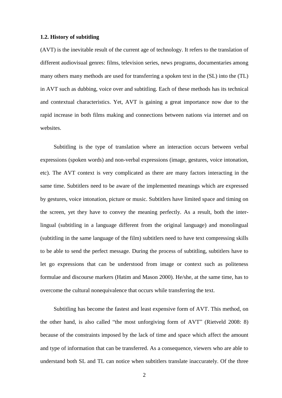#### **1.2. History of subtitling**

(AVT) is the inevitable result of the current age of technology. It refers to the translation of different audiovisual genres: films, television series, news programs, documentaries among many others many methods are used for transferring a spoken text in the (SL) into the (TL) in AVT such as dubbing, voice over and subtitling. Each of these methods has its technical and contextual characteristics. Yet, AVT is gaining a great importance now due to the rapid increase in both films making and connections between nations via internet and on websites.

Subtitling is the type of translation where an interaction occurs between verbal expressions (spoken words) and non-verbal expressions (image, gestures, voice intonation, etc). The AVT context is very complicated as there are many factors interacting in the same time. Subtitlers need to be aware of the implemented meanings which are expressed by gestures, voice intonation, picture or music. Subtitlers have limited space and timing on the screen, yet they have to convey the meaning perfectly. As a result, both the interlingual (subtitling in a language different from the original language) and monolingual (subtitling in the same language of the film) subtitlers need to have text compressing skills to be able to send the perfect message. During the process of subtitling, subtitlers have to let go expressions that can be understood from image or context such as politeness formulae and discourse markers (Hatim and Mason 2000). He/she, at the same time, has to overcome the cultural nonequivalence that occurs while transferring the text.

Subtitling has become the fastest and least expensive form of AVT. This method, on the other hand, is also called "the most unforgiving form of AVT" (Rietveld 2008: 8) because of the constraints imposed by the lack of time and space which affect the amount and type of information that can be transferred. As a consequence, viewers who are able to understand both SL and TL can notice when subtitlers translate inaccurately. Of the three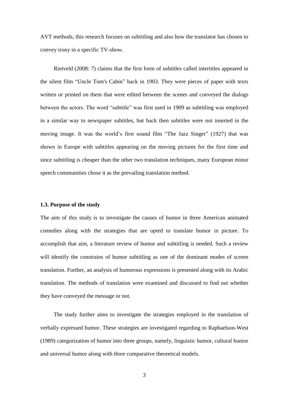AVT methods, this research focuses on subtitling and also how the translator has chosen to convey irony in a specific TV-show.

Rietveld (2008: 7) claims that the first form of subtitles called intertitles appeared in the silent film "Uncle Tom's Cabin" back in 1903. They were pieces of paper with texts written or printed on them that were edited between the scenes and conveyed the dialogs between the actors. The word "subtitle" was first used in 1909 as subtitling was employed in a similar way to newspaper subtitles, but back then subtitles were not inserted in the moving image. It was the world"s first sound film "The Jazz Singer" (1927) that was shown in Europe with subtitles appearing on the moving pictures for the first time and since subtitling is cheaper than the other two translation techniques, many European minor speech communities chose it as the prevailing translation method.

## **1.3. Purpose of the study**

The aim of this study is to investigate the causes of humor in three American animated comedies along with the strategies that are opted to translate humor in picture. To accomplish that aim, a literature review of humor and subtitling is needed. Such a review will identify the constrains of humor subtitling as one of the dominant modes of screen translation. Further, an analysis of humorous expressions is presented along with its Arabic translation. The methods of translation were examined and discussed to find out whether they have conveyed the message or not.

The study further aims to investigate the strategies employed in the translation of verbally expressed humor. These strategies are investigated regarding to Raphaelson-West (1989) categorization of humor into three groups, namely, linguistic humor, cultural humor and universal humor along with three comparative theoretical models.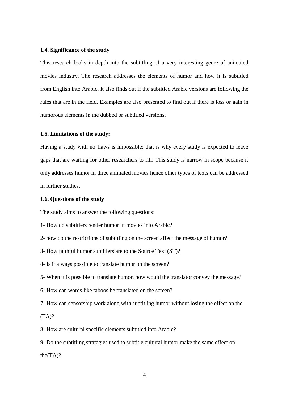#### **1.4. Significance of the study**

This research looks in depth into the subtitling of a very interesting genre of animated movies industry. The research addresses the elements of humor and how it is subtitled from English into Arabic. It also finds out if the subtitled Arabic versions are following the rules that are in the field. Examples are also presented to find out if there is loss or gain in humorous elements in the dubbed or subtitled versions.

#### **1.5. Limitations of the study:**

Having a study with no flaws is impossible; that is why every study is expected to leave gaps that are waiting for other researchers to fill. This study is narrow in scope because it only addresses humor in three animated movies hence other types of texts can be addressed in further studies.

#### **1.6. Questions of the study**

The study aims to answer the following questions:

1- How do subtitlers render humor in movies into Arabic?

- 2- how do the restrictions of subtitling on the screen affect the message of humor?
- 3- How faithful humor subtitlers are to the Source Text (ST)?

4- Is it always possible to translate humor on the screen?

5- When it is possible to translate humor, how would the translator convey the message?

6- How can words like taboos be translated on the screen?

7- How can censorship work along with subtitling humor without losing the effect on the  $(TA)?$ 

8- How are cultural specific elements subtitled into Arabic?

9- Do the subtitling strategies used to subtitle cultural humor make the same effect on the(TA)?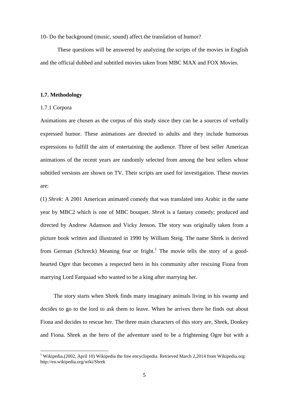10- Do the background (music, sound) affect the translation of humor?

These questions will be answered by analyzing the scripts of the movies in English and the official dubbed and subtitled movies taken from MBC MAX and FOX Movies.

#### **1.7. Methodology**

#### 1.7.1 Corpora

<u>.</u>

Animations are chosen as the corpus of this study since they can be a sources of verbally expressed humor. These animations are directed to adults and they include humorous expressions to fulfill the aim of entertaining the audience. Three of best seller American animations of the recent years are randomly selected from among the best sellers whose subtitled versions are shown on TV. Their scripts are used for investigation. These movies are:

(1) *Shrek:* A 2001 American animated comedy that was translated into Arabic in the same year by MBC2 which is one of MBC bouquet. *Shrek* is a fantasy comedy; produced and directed by Andrew Adamson and Vicky Jenson. The story was originally taken from a picture book written and illustrated in 1990 by William Steig. The name Shrek is derived from German (Schreck) Meaning fear or fright.<sup>1</sup> The movie tells the story of a goodhearted Ogre that becomes a respected hero in his community after rescuing Fiona from marrying Lord Farquaad who wanted to be a king after marrying her.

The story starts when Shrek finds many imaginary animals living in his swamp and decides to go to the lord to ask them to leave. When he arrives there he finds out about Fiona and decides to rescue her. The three main characters of this story are, Shrek, Donkey and Fiona. Shrek as the hero of the adventure used to be a frightening Ogre but with a

<sup>&</sup>lt;sup>1</sup> Wikipedia.(2002, April 10) Wikipedia the free encyclopedia. Retrieved March 2,2014 from Wikipedia.org: http://en.wikipedia.org/wiki/Shrek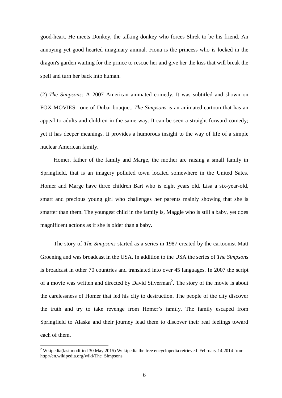good-heart. He meets Donkey, the talking donkey who forces Shrek to be his friend. An annoying yet good hearted imaginary animal. Fiona is the princess who is locked in the dragon's garden waiting for the prince to rescue her and give her the kiss that will break the spell and turn her back into human.

(2) *The Simpsons:* A 2007 American animated comedy. It was subtitled and shown on FOX MOVIES –one of Dubai bouquet. *The Simpsons* is an animated cartoon that has an appeal to adults and children in the same way. It can be seen a straight-forward comedy; yet it has deeper meanings. It provides a humorous insight to the way of life of a simple nuclear American family.

Homer, father of the family and Marge, the mother are raising a small family in Springfield, that is an imagery polluted town located somewhere in the United Sates. Homer and Marge have three children Bart who is eight years old. Lisa a six-year-old, smart and precious young girl who challenges her parents mainly showing that she is smarter than them. The youngest child in the family is, Maggie who is still a baby, yet does magnificent actions as if she is older than a baby.

The story of *The Simpsons* started as a series in 1987 created by the cartoonist Matt Groening and was broadcast in the USA. In addition to the USA the series of *The Simpsons* is broadcast in other 70 countries and translated into over 45 languages. In 2007 the script of a movie was written and directed by David Silverman<sup>2</sup>. The story of the movie is about the carelessness of Homer that led his city to destruction. The people of the city discover the truth and try to take revenge from Homer's family. The family escaped from Springfield to Alaska and their journey lead them to discover their real feelings toward each of them.

<u>.</u>

<sup>&</sup>lt;sup>2</sup> Wkipedia(last modified 30 May 2015) Wekipedia the free encyclopedia retrieved February, 14, 2014 from http://en.wikipedia.org/wiki/The\_Simpsons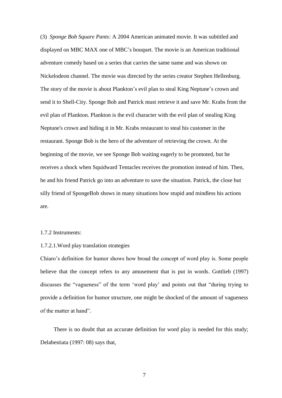(3) *Sponge Bob Square Pants:* A 2004 American animated movie. It was subtitled and displayed on MBC MAX one of MBC's bouquet. The movie is an American traditional adventure comedy based on a series that carries the same name and was shown on Nickelodeon channel. The movie was directed by the series creator Stephen Hellenburg. The story of the movie is about Plankton's evil plan to steal King Neptune's crown and send it to Shell-City. Sponge Bob and Patrick must retrieve it and save Mr. Krabs from the evil plan of Plankton. Plankton is the evil character with the evil plan of stealing King Neptune's crown and hiding it in Mr. Krabs restaurant to steal his customer in the restaurant. Sponge Bob is the hero of the adventure of retrieving the crown. At the beginning of the movie, we see Sponge Bob waiting eagerly to be promoted, but he receives a shock when Squidward Tentacles receives the promotion instead of him. Then, he and his friend Patrick go into an adventure to save the situation. Patrick, the close but silly friend of SpongeBob shows in many situations how stupid and mindless his actions are.

## 1.7.2 Instruments:

#### 1.7.2.1.Word play translation strategies

Chiaro's definition for humor shows how broad the concept of word play is. Some people believe that the concept refers to any amusement that is put in words. Gottlieb (1997) discusses the "vagueness" of the term "word play' and points out that "during trying to provide a definition for humor structure, one might be shocked of the amount of vagueness of the matter at hand".

There is no doubt that an accurate definition for word play is needed for this study; Delabestiata (1997: 08) says that,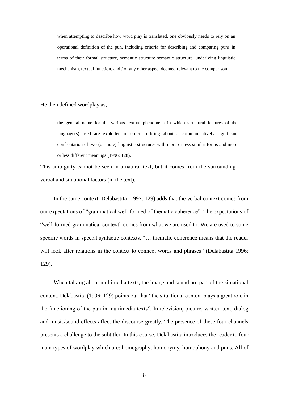when attempting to describe how word play is translated, one obviously needs to rely on an operational definition of the pun, including criteria for describing and comparing puns in terms of their formal structure, semantic structure semantic structure, underlying linguistic mechanism, textual function, and / or any other aspect deemed relevant to the comparison

He then defined wordplay as,

the general name for the various textual phenomena in which structural features of the language(s) used are exploited in order to bring about a communicatively significant confrontation of two (or more) linguistic structures with more or less similar forms and more or less different meanings (1996: 128).

This ambiguity cannot be seen in a natural text, but it comes from the surrounding verbal and situational factors (in the text).

In the same context, Delabastita (1997: 129) adds that the verbal context comes from our expectations of "grammatical well-formed of thematic coherence". The expectations of "well-formed grammatical context" comes from what we are used to. We are used to some specific words in special syntactic contexts. "… thematic coherence means that the reader will look after relations in the context to connect words and phrases" (Delabastita 1996: 129).

When talking about multimedia texts, the image and sound are part of the situational context. Delabastita (1996: 129) points out that "the situational context plays a great role in the functioning of the pun in multimedia texts". In television, picture, written text, dialog and music/sound effects affect the discourse greatly. The presence of these four channels presents a challenge to the subtitler. In this course, Delabastita introduces the reader to four main types of wordplay which are: homography, homonymy, homophony and puns*.* All of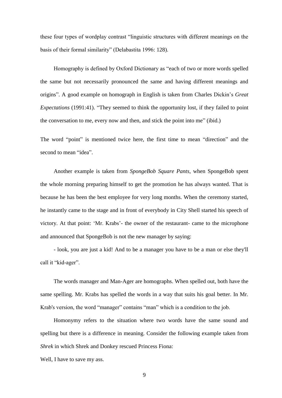these four types of wordplay contrast "linguistic structures with different meanings on the basis of their formal similarity" (Delabastita 1996: 128).

Homography is defined by Oxford Dictionary as "each of two or more words spelled the same but not necessarily pronounced the same and having different meanings and origins". A good example on homograph in English is taken from Charles Dickin"s *Great Expectations* (1991:41). "They seemed to think the opportunity lost, if they failed to point the conversation to me, every now and then, and stick the point into me" (ibid.)

The word "point" is mentioned twice here, the first time to mean "direction" and the second to mean "idea".

Another example is taken from *SpongeBob Square Pants*, when SpongeBob spent the whole morning preparing himself to get the promotion he has always wanted. That is because he has been the best employee for very long months. When the ceremony started, he instantly came to the stage and in front of everybody in City Shell started his speech of victory. At that point: ʻMr. Krabs'- the owner of the restaurant- came to the microphone and announced that SpongeBob is not the new manager by saying:

- look, you are just a kid! And to be a manager you have to be a man or else they'll call it "kid-ager".

The words manager and Man-Ager are homographs. When spelled out, both have the same spelling. Mr. Krabs has spelled the words in a way that suits his goal better. In Mr. Krab's version, the word "manager" contains "man" which is a condition to the job.

Homonymy refers to the situation where two words have the same sound and spelling but there is a difference in meaning. Consider the following example taken from *Shrek* in which Shrek and Donkey rescued Princess Fiona:

Well, I have to save my ass.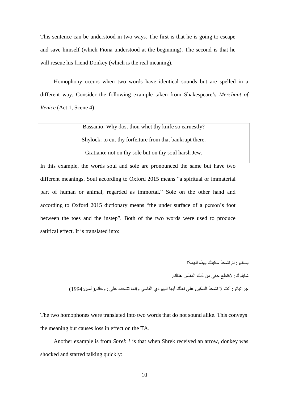This sentence can be understood in two ways. The first is that he is going to escape and save himself (which Fiona understood at the beginning). The second is that he will rescue his friend Donkey (which is the real meaning).

Homophony occurs when two words have identical sounds but are spelled in a different way. Consider the following example taken from Shakespeare's *Merchant of Venice* (Act 1, Scene 4)

Bassanio: Why dost thou whet thy knife so earnestly?

Shylock: to cut thy forfeiture from that bankrupt there.

Gratiano: not on thy sole but on thy soul harsh Jew.

In this example, the words soul and sole are pronounced the same but have two different meanings. Soul according to Oxford 2015 means "a spiritual or immaterial part of human or animal, regarded as immortal." Sole on the other hand and according to Oxford 2015 dictionary means "the under surface of a person"s foot between the toes and the instep". Both of the two words were used to produce satirical effect. It is translated into:

> بسانيو : لَمَ تشحذ سكينك بهذه المهمة؟ شايلوك: لأقتطع حقى من ذلك المفلس هناك. جراتيانو: أنت لا تشحذ السكين على نعلك أيها اليهودي القاسي وإنما تشحذه على روحك ( أمين:1994)

The two homophones were translated into two words that do not sound alike. This conveys the meaning but causes loss in effect on the TA.

Another example is from *Shrek 1* is that when Shrek received an arrow, donkey was shocked and started talking quickly: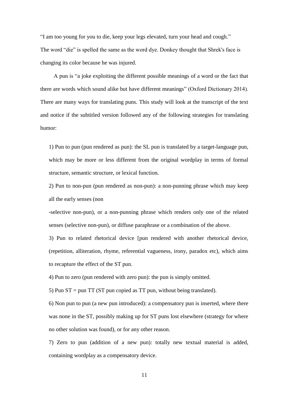"I am too young for you to die, keep your legs elevated, turn your head and cough." The word "die" is spelled the same as the word dye. Donkey thought that Shrek's face is changing its color because he was injured.

A pun is "a joke exploiting the different possible meanings of a word or the fact that there are words which sound alike but have different meanings" (Oxford Dictionary 2014). There are many ways for translating puns. This study will look at the transcript of the text and notice if the subtitled version followed any of the following strategies for translating humor:

1) Pun to pun (pun rendered as pun): the SL pun is translated by a target-language pun, which may be more or less different from the original wordplay in terms of formal structure, semantic structure, or lexical function.

2) Pun to non-pun (pun rendered as non-pun): a non-punning phrase which may keep all the early senses (non

-selective non-pun), or a non-punning phrase which renders only one of the related senses (selective non-pun), or diffuse paraphrase or a combination of the above.

3) Pun to related rhetorical device [pun rendered with another rhetorical device, (repetition, alliteration, rhyme, referential vagueness, irony, paradox etc), which aims to recapture the effect of the ST pun.

4) Pun to zero (pun rendered with zero pun): the pun is simply omitted.

5) Pun ST = pun TT (ST pun copied as TT pun, without being translated).

6) Non pun to pun (a new pun introduced): a compensatory pun is inserted, where there was none in the ST, possibly making up for ST puns lost elsewhere (strategy for where no other solution was found), or for any other reason.

7) Zero to pun (addition of a new pun): totally new textual material is added, containing wordplay as a compensatory device.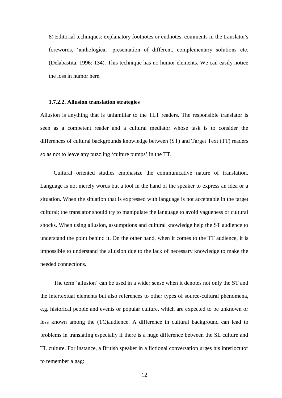8) Editorial techniques: explanatory footnotes or endnotes, comments in the translator's forewords, ʻanthological' presentation of different, complementary solutions etc. (Delabastita, 1996: 134). This technique has no humor elements. We can easily notice the loss in humor here.

#### **1.7.2.2. Allusion translation strategies**

Allusion is anything that is unfamiliar to the TLT readers. The responsible translator is seen as a competent reader and a cultural mediator whose task is to consider the differences of cultural backgrounds knowledge between (ST) and Target Text (TT) readers so as not to leave any puzzling 'culture pumps' in the TT.

Cultural oriented studies emphasize the communicative nature of translation. Language is not merely words but a tool in the hand of the speaker to express an idea or a situation. When the situation that is expressed with language is not acceptable in the target cultural; the translator should try to manipulate the language to avoid vagueness or cultural shocks. When using allusion, assumptions and cultural knowledge help the ST audience to understand the point behind it. On the other hand, when it comes to the TT audience, it is impossible to understand the allusion due to the lack of necessary knowledge to make the needed connections.

The term 'allusion' can be used in a wider sense when it denotes not only the ST and the intertextual elements but also references to other types of source-cultural phenomena, e.g. historical people and events or popular culture, which are expected to be unknown or less known among the (TC)audience. A difference in cultural background can lead to problems in translating especially if there is a huge difference between the SL culture and TL culture. For instance, a British speaker in a fictional conversation urges his interlocutor to remember a gag: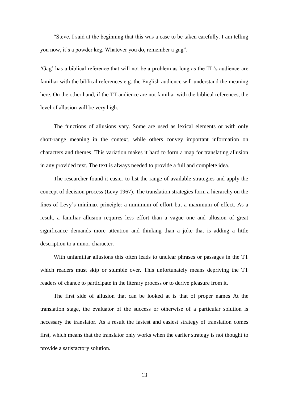"Steve, I said at the beginning that this was a case to be taken carefully. I am telling you now, it's a powder keg. Whatever you do, remember a gag".

"Gag" has a biblical reference that will not be a problem as long as the TL"s audience are familiar with the biblical references e.g. the English audience will understand the meaning here. On the other hand, if the TT audience are not familiar with the biblical references, the level of allusion will be very high.

The functions of allusions vary. Some are used as lexical elements or with only short-range meaning in the context, while others convey important information on characters and themes. This variation makes it hard to form a map for translating allusion in any provided text. The text is always needed to provide a full and complete idea.

The researcher found it easier to list the range of available strategies and apply the concept of decision process (Levy 1967). The translation strategies form a hierarchy on the lines of Levy"s minimax principle: a minimum of effort but a maximum of effect. As a result, a familiar allusion requires less effort than a vague one and allusion of great significance demands more attention and thinking than a joke that is adding a little description to a minor character.

With unfamiliar allusions this often leads to unclear phrases or passages in the TT which readers must skip or stumble over. This unfortunately means depriving the TT readers of chance to participate in the literary process or to derive pleasure from it.

The first side of allusion that can be looked at is that of proper names At the translation stage, the evaluator of the success or otherwise of a particular solution is necessary the translator. As a result the fastest and easiest strategy of translation comes first, which means that the translator only works when the earlier strategy is not thought to provide a satisfactory solution.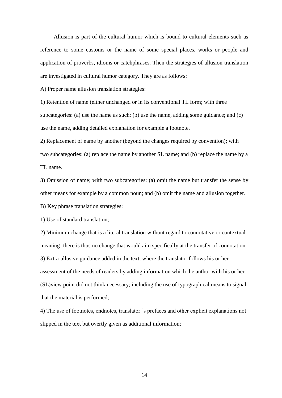Allusion is part of the cultural humor which is bound to cultural elements such as reference to some customs or the name of some special places, works or people and application of proverbs, idioms or catchphrases. Then the strategies of allusion translation are investigated in cultural humor category. They are as follows:

A) Proper name allusion translation strategies:

1) Retention of name (either unchanged or in its conventional TL form; with three subcategories: (a) use the name as such; (b) use the name, adding some guidance; and (c) use the name, adding detailed explanation for example a footnote.

2) Replacement of name by another (beyond the changes required by convention); with two subcategories: (a) replace the name by another SL name; and (b) replace the name by a TL name.

3) Omission of name; with two subcategories: (a) omit the name but transfer the sense by other means for example by a common noun; and (b) omit the name and allusion together.

B) Key phrase translation strategies:

1) Use of standard translation;

2) Minimum change that is a literal translation without regard to connotative or contextual meaning- there is thus no change that would aim specifically at the transfer of connotation. 3) Extra-allusive guidance added in the text, where the translator follows his or her assessment of the needs of readers by adding information which the author with his or her (SL)view point did not think necessary; including the use of typographical means to signal that the material is performed;

4) The use of footnotes, endnotes, translator "s prefaces and other explicit explanations not slipped in the text but overtly given as additional information;

14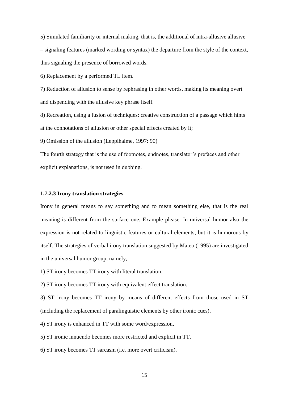5) Simulated familiarity or internal making, that is, the additional of intra-allusive allusive – signaling features (marked wording or syntax) the departure from the style of the context, thus signaling the presence of borrowed words.

6) Replacement by a performed TL item.

7) Reduction of allusion to sense by rephrasing in other words, making its meaning overt and dispending with the allusive key phrase itself.

8) Recreation, using a fusion of techniques: creative construction of a passage which hints at the connotations of allusion or other special effects created by it;

9) Omission of the allusion (Leppihalme, 1997: 90)

The fourth strategy that is the use of footnotes, endnotes, translator"s prefaces and other explicit explanations, is not used in dubbing.

#### **1.7.2.3 Irony translation strategies**

Irony in general means to say something and to mean something else, that is the real meaning is different from the surface one. Example please. In universal humor also the expression is not related to linguistic features or cultural elements, but it is humorous by itself. The strategies of verbal irony translation suggested by Mateo (1995) are investigated in the universal humor group, namely,

1) ST irony becomes TT irony with literal translation.

2) ST irony becomes TT irony with equivalent effect translation.

3) ST irony becomes TT irony by means of different effects from those used in ST (including the replacement of paralinguistic elements by other ironic cues).

4) ST irony is enhanced in TT with some word/expression,

5) ST ironic innuendo becomes more restricted and explicit in TT.

6) ST irony becomes TT sarcasm (i.e. more overt criticism).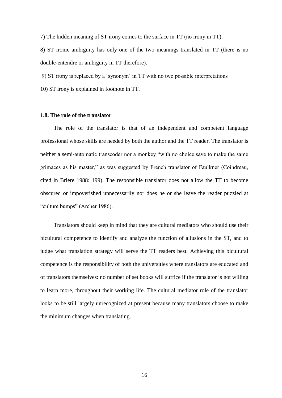7) The hidden meaning of ST irony comes to the surface in TT (no irony in TT).

8) ST ironic ambiguity has only one of the two meanings translated in TT (there is no double-entendre or ambiguity in TT therefore).

9) ST irony is replaced by a ʻsynonym' in TT with no two possible interpretations

10) ST irony is explained in footnote in TT.

#### **1.8. The role of the translator**

The role of the translator is that of an independent and competent language professional whose skills are needed by both the author and the TT reader. The translator is neither a semi-automatic transcoder nor a monkey "with no choice save to make the same grimaces as his master," as was suggested by French translator of Faulkner (Coindreau, cited in Briere 1988: 199). The responsible translator does not allow the TT to become obscured or impoverished unnecessarily nor does he or she leave the reader puzzled at "culture bumps" (Archer 1986).

Translators should keep in mind that they are cultural mediators who should use their bicultural competence to identify and analyze the function of allusions in the ST, and to judge what translation strategy will serve the TT readers best. Achieving this bicultural competence is the responsibility of both the universities where translators are educated and of translators themselves: no number of set books will suffice if the translator is not willing to learn more, throughout their working life. The cultural mediator role of the translator looks to be still largely unrecognized at present because many translators choose to make the minimum changes when translating.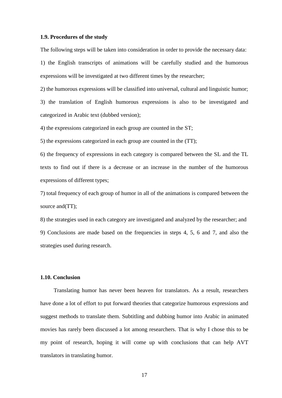#### **1.9. Procedures of the study**

The following steps will be taken into consideration in order to provide the necessary data:

1) the English transcripts of animations will be carefully studied and the humorous expressions will be investigated at two different times by the researcher;

2) the humorous expressions will be classified into universal, cultural and linguistic humor;

3) the translation of English humorous expressions is also to be investigated and categorized in Arabic text (dubbed version);

4) the expressions categorized in each group are counted in the ST;

5) the expressions categorized in each group are counted in the (TT);

6) the frequency of expressions in each category is compared between the SL and the TL texts to find out if there is a decrease or an increase in the number of the humorous expressions of different types;

7) total frequency of each group of humor in all of the animations is compared between the source and (TT);

8) the strategies used in each category are investigated and analyzed by the researcher; and 9) Conclusions are made based on the frequencies in steps 4, 5, 6 and 7, and also the strategies used during research.

#### **1.10. Conclusion**

Translating humor has never been heaven for translators. As a result, researchers have done a lot of effort to put forward theories that categorize humorous expressions and suggest methods to translate them. Subtitling and dubbing humor into Arabic in animated movies has rarely been discussed a lot among researchers. That is why I chose this to be my point of research, hoping it will come up with conclusions that can help AVT translators in translating humor.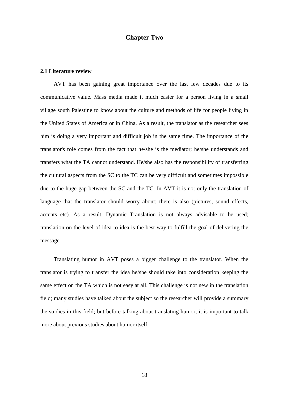## **Chapter Two**

## **2.1 Literature review**

AVT has been gaining great importance over the last few decades due to its communicative value. Mass media made it much easier for a person living in a small village south Palestine to know about the culture and methods of life for people living in the United States of America or in China. As a result, the translator as the researcher sees him is doing a very important and difficult job in the same time. The importance of the translator's role comes from the fact that he/she is the mediator; he/she understands and transfers what the TA cannot understand. He/she also has the responsibility of transferring the cultural aspects from the SC to the TC can be very difficult and sometimes impossible due to the huge gap between the SC and the TC. In AVT it is not only the translation of language that the translator should worry about; there is also (pictures, sound effects, accents etc). As a result, Dynamic Translation is not always advisable to be used; translation on the level of idea-to-idea is the best way to fulfill the goal of delivering the message.

Translating humor in AVT poses a bigger challenge to the translator. When the translator is trying to transfer the idea he/she should take into consideration keeping the same effect on the TA which is not easy at all. This challenge is not new in the translation field; many studies have talked about the subject so the researcher will provide a summary the studies in this field; but before talking about translating humor, it is important to talk more about previous studies about humor itself.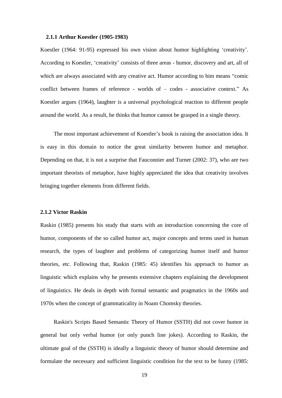#### **2.1.1 Arthur Koestler (1905-1983)**

Koestler (1964: 91-95) expressed his own vision about humor highlighting "creativity'. According to Koestler, ʻcreativity' consists of three areas - humor, discovery and art, all of which are always associated with any creative act. Humor according to him means "comic conflict between frames of reference - worlds of – codes - associative context." As Koestler argues (1964), laughter is a universal psychological reaction to different people around the world. As a result, he thinks that humor cannot be grasped in a single theory.

The most important achievement of Koestler's book is raising the association idea. It is easy in this domain to notice the great similarity between humor and metaphor. Depending on that, it is not a surprise that Fauconnier and Turner (2002: 37), who are two important theorists of metaphor, have highly appreciated the idea that creativity involves bringing together elements from different fields.

#### **2.1.2 Victor Raskin**

Raskin (1985) presents his study that starts with an introduction concerning the core of humor, components of the so called humor act, major concepts and terms used in human research, the types of laughter and problems of categorizing humor itself and humor theories, etc. Following that, Raskin (1985: 45) identifies his approach to humor as linguistic which explains why he presents extensive chapters explaining the development of linguistics. He deals in depth with formal semantic and pragmatics in the 1960s and 1970s when the concept of grammaticality in Noam Chomsky theories.

Raskin's Scripts Based Semantic Theory of Humor (SSTH) did not cover humor in general but only verbal humor (or only punch line jokes). According to Raskin, the ultimate goal of the (SSTH) is ideally a linguistic theory of humor should determine and formulate the necessary and sufficient linguistic condition for the text to be funny (1985: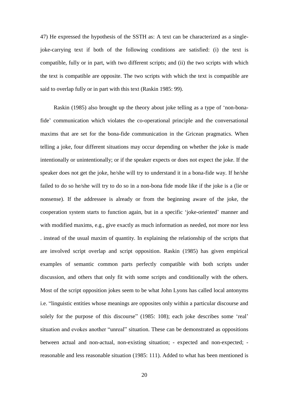47) He expressed the hypothesis of the SSTH as: A text can be characterized as a singlejoke-carrying text if both of the following conditions are satisfied: (i) the text is compatible, fully or in part, with two different scripts; and (ii) the two scripts with which the text is compatible are opposite. The two scripts with which the text is compatible are said to overlap fully or in part with this text (Raskin 1985: 99).

Raskin (1985) also brought up the theory about joke telling as a type of "non-bonafide" communication which violates the co-operational principle and the conversational maxims that are set for the bona-fide communication in the Gricean pragmatics. When telling a joke, four different situations may occur depending on whether the joke is made intentionally or unintentionally; or if the speaker expects or does not expect the joke. If the speaker does not get the joke, he/she will try to understand it in a bona-fide way. If he/she failed to do so he/she will try to do so in a non-bona fide mode like if the joke is a (lie or nonsense). If the addressee is already or from the beginning aware of the joke, the cooperation system starts to function again, but in a specific "joke-oriented" manner and with modified maxims, e.g., give exactly as much information as needed, not more nor less . instead of the usual maxim of quantity. In explaining the relationship of the scripts that are involved script overlap and script opposition. Raskin (1985) has given empirical examples of semantic common parts perfectly compatible with both scripts under discussion, and others that only fit with some scripts and conditionally with the others. Most of the script opposition jokes seem to be what John Lyons has called local antonyms i.e. "linguistic entities whose meanings are opposites only within a particular discourse and solely for the purpose of this discourse" (1985: 108); each joke describes some 'real' situation and evokes another "unreal" situation. These can be demonstrated as oppositions between actual and non-actual, non-existing situation; - expected and non-expected; reasonable and less reasonable situation (1985: 111). Added to what has been mentioned is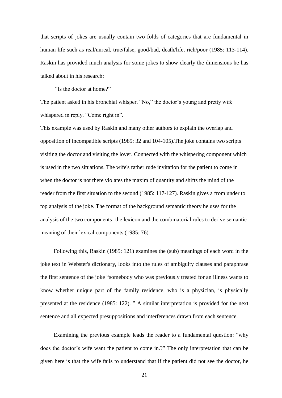that scripts of jokes are usually contain two folds of categories that are fundamental in human life such as real/unreal, true/false, good/bad, death/life, rich/poor (1985: 113-114). Raskin has provided much analysis for some jokes to show clearly the dimensions he has talked about in his research:

"Is the doctor at home?"

The patient asked in his bronchial whisper. "No," the doctor's young and pretty wife whispered in reply. "Come right in".

This example was used by Raskin and many other authors to explain the overlap and opposition of incompatible scripts (1985: 32 and 104-105).The joke contains two scripts visiting the doctor and visiting the lover. Connected with the whispering component which is used in the two situations. The wife's rather rude invitation for the patient to come in when the doctor is not there violates the maxim of quantity and shifts the mind of the reader from the first situation to the second (1985: 117-127). Raskin gives a from under to top analysis of the joke. The format of the background semantic theory he uses for the analysis of the two components- the lexicon and the combinatorial rules to derive semantic meaning of their lexical components (1985: 76).

Following this, Raskin (1985: 121) examines the (sub) meanings of each word in the joke text in Webster's dictionary, looks into the rules of ambiguity clauses and paraphrase the first sentence of the joke "somebody who was previously treated for an illness wants to know whether unique part of the family residence, who is a physician, is physically presented at the residence (1985: 122). " A similar interpretation is provided for the next sentence and all expected presuppositions and interferences drawn from each sentence.

Examining the previous example leads the reader to a fundamental question: "why does the doctor's wife want the patient to come in.?" The only interpretation that can be given here is that the wife fails to understand that if the patient did not see the doctor, he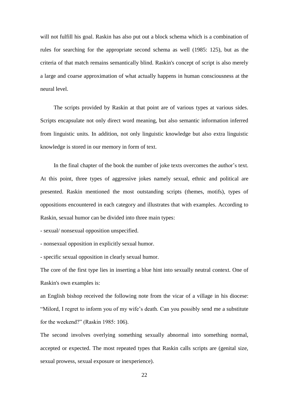will not fulfill his goal. Raskin has also put out a block schema which is a combination of rules for searching for the appropriate second schema as well (1985: 125), but as the criteria of that match remains semantically blind. Raskin's concept of script is also merely a large and coarse approximation of what actually happens in human consciousness at the neural level.

The scripts provided by Raskin at that point are of various types at various sides. Scripts encapsulate not only direct word meaning, but also semantic information inferred from linguistic units. In addition, not only linguistic knowledge but also extra linguistic knowledge is stored in our memory in form of text.

In the final chapter of the book the number of joke texts overcomes the author's text. At this point, three types of aggressive jokes namely sexual, ethnic and political are presented. Raskin mentioned the most outstanding scripts (themes, motifs), types of oppositions encountered in each category and illustrates that with examples. According to Raskin, sexual humor can be divided into three main types:

- sexual/ nonsexual opposition unspecified.

- nonsexual opposition in explicitly sexual humor.

- specific sexual opposition in clearly sexual humor.

The core of the first type lies in inserting a blue hint into sexually neutral context. One of Raskin's own examples is:

an English bishop received the following note from the vicar of a village in his diocese: "Milord, I regret to inform you of my wife's death. Can you possibly send me a substitute for the weekend?" (Raskin 1985: 106).

The second involves overlying something sexually abnormal into something normal, accepted or expected. The most repeated types that Raskin calls scripts are (genital size, sexual prowess, sexual exposure or inexperience).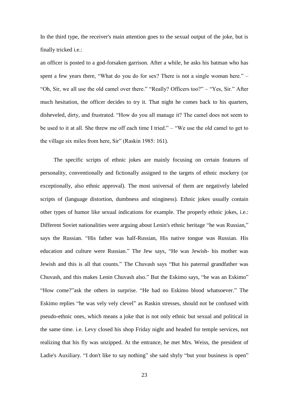In the third type, the receiver's main attention goes to the sexual output of the joke, but is finally tricked i.e.:

an officer is posted to a god-forsaken garrison. After a while, he asks his batman who has spent a few years there, "What do you do for sex? There is not a single woman here." – "Oh, Sir, we all use the old camel over there." "Really? Officers too?" – "Yes, Sir." After much hesitation, the officer decides to try it. That night he comes back to his quarters, disheveled, dirty, and frustrated. "How do you all manage it? The camel does not seem to be used to it at all. She threw me off each time I tried." – "We use the old camel to get to the village six miles from here, Sir" (Raskin 1985: 161).

The specific scripts of ethnic jokes are mainly focusing on certain features of personality, conventionally and fictionally assigned to the targets of ethnic mockery (or exceptionally, also ethnic approval). The most universal of them are negatively labeled scripts of (language distortion, dumbness and stinginess). Ethnic jokes usually contain other types of humor like sexual indications for example. The properly ethnic jokes, i.e.: Different Soviet nationalities were arguing about Lenin's ethnic heritage "he was Russian," says the Russian. "His father was half-Russian, His native tongue was Russian. His education and culture were Russian." The Jew says, "He was Jewish- his mother was Jewish and this is all that counts." The Chuvash says "But his paternal grandfather was Chuvash, and this makes Lenin Chuvash also." But the Eskimo says, "he was an Eskimo" "How come?"ask the others in surprise. "He had no Eskimo blood whatsoever." The Eskimo replies "he was vely vely clevel" as Raskin stresses, should not be confused with pseudo-ethnic ones, which means a joke that is not only ethnic but sexual and political in the same time. i.e. Levy closed his shop Friday night and headed for temple services, not realizing that his fly was unzipped. At the entrance, he met Mrs. Weiss, the president of Ladie's Auxiliary. "I don't like to say nothing" she said shyly "but your business is open"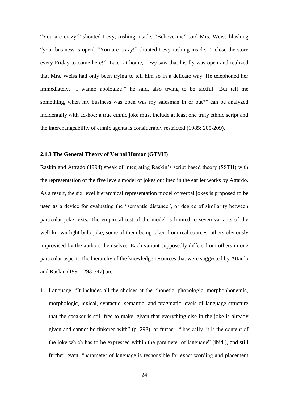"You are crazy!" shouted Levy, rushing inside. "Believe me" said Mrs. Weiss blushing "your business is open" "You are crazy!" shouted Levy rushing inside. "I close the store every Friday to come here!". Later at home, Levy saw that his fly was open and realized that Mrs. Weiss had only been trying to tell him so in a delicate way. He telephoned her immediately. "I wanno apologize!" he said, also trying to be tactful "But tell me something, when my business was open was my salesman in or out?" can be analyzed incidentally with ad-hoc: a true ethnic joke must include at least one truly ethnic script and the interchangeability of ethnic agents is considerably restricted (1985: 205-209).

## **2.1.3 The General Theory of Verbal Humor (GTVH)**

Raskin and Attrado (1994) speak of integrating Raskin"s script based theory (SSTH) with the representation of the five levels model of jokes outlined in the earlier works by Attardo. As a result, the six level hierarchical representation model of verbal jokes is proposed to be used as a device for evaluating the "semantic distance", or degree of similarity between particular joke texts. The empirical test of the model is limited to seven variants of the well-known light bulb joke, some of them being taken from real sources, others obviously improvised by the authors themselves. Each variant supposedly differs from others in one particular aspect. The hierarchy of the knowledge resources that were suggested by Attardo and Raskin (1991: 293-347) are:

1. Language. "It includes all the choices at the phonetic, phonologic, morphophonemic, morphologic, lexical, syntactic, semantic, and pragmatic levels of language structure that the speaker is still free to make, given that everything else in the joke is already given and cannot be tinkered with" (p. 298), or further: ".basically, it is the content of the joke which has to be expressed within the parameter of language" (ibid.), and still further, even: "parameter of language is responsible for exact wording and placement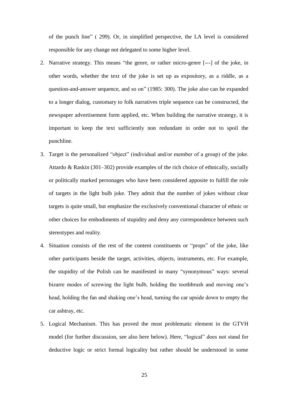of the punch line" ( 299). Or, in simplified perspective, the LA level is considered responsible for any change not delegated to some higher level.

- 2. Narrative strategy. This means "the genre, or rather micro-genre [---] of the joke, in other words, whether the text of the joke is set up as expository, as a riddle, as a question-and-answer sequence, and so on" (1985: 300). The joke also can be expanded to a longer dialog, customary to folk narratives triple sequence can be constructed, the newspaper advertisement form applied, etc. When building the narrative strategy, it is important to keep the text sufficiently non redundant in order not to spoil the punchline.
- 3. Target is the personalized "object" (individual and/or member of a group) of the joke. Attardo & Raskin (301–302) provide examples of the rich choice of ethnically, socially or politically marked personages who have been considered apposite to fulfill the role of targets in the light bulb joke. They admit that the number of jokes without clear targets is quite small, but emphasize the exclusively conventional character of ethnic or other choices for embodiments of stupidity and deny any correspondence between such stereotypes and reality.
- 4. Situation consists of the rest of the content constituents or "props" of the joke, like other participants beside the target, activities, objects, instruments, etc. For example, the stupidity of the Polish can be manifested in many "synonymous" ways: several bizarre modes of screwing the light bulb, holding the toothbrush and moving one"s head, holding the fan and shaking one's head, turning the car upside down to empty the car ashtray, etc.
- 5. Logical Mechanism. This has proved the most problematic element in the GTVH model (for further discussion, see also here below). Here, "logical" does not stand for deductive logic or strict formal logicality but rather should be understood in some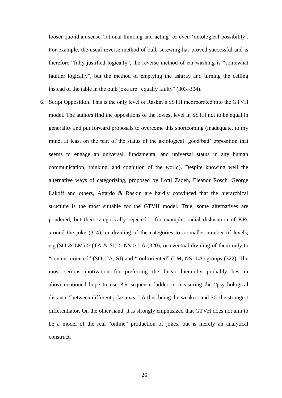looser quotidian sense 'rational thinking and acting' or even 'ontological possibility'. For example, the usual reverse method of bulb-screwing has proved successful and is therefore "fully justified logically", the reverse method of car washing is "somewhat faultier logically", but the method of emptying the ashtray and turning the ceiling instead of the table in the bulb joke are "equally faulty" (303–304).

6. Script Opposition. This is the only level of Raskin"s SSTH incorporated into the GTVH model. The authors find the oppositions of the lowest level in SSTH not to be equal in generality and put forward proposals to overcome this shortcoming (inadequate, to my mind, at least on the part of the status of the axiological "good/bad" opposition that seems to engage an universal, fundamental and universal status in any human communication, thinking, and cognition of the world). Despite knowing well the alternative ways of categorizing, proposed by Lofti Zadeh, Eleanor Rosch, George Lakoff and others, Attardo & Raskin are hardly convinced that the hierarchical structure is the most suitable for the GTVH model. True, some alternatives are pondered, but then categorically rejected – for example, radial dislocation of KRs around the joke (314), or dividing of the categories to a smaller number of levels, e.g.(SO & LM) > (TA & SI) > NS > LA (320), or eventual dividing of them only to "content-oriented" (SO, TA, SI) and "tool-oriented" (LM, NS, LA) groups (322). The most serious motivation for preferring the linear hierarchy probably lies in abovementioned hope to use KR sequence ladder in measuring the "psychological distance" between different joke texts, LA thus being the weakest and SO the strongest differentiator. On the other hand, it is strongly emphasized that GTVH does not aim to be a model of the real "online" production of jokes, but is merely an analytical construct.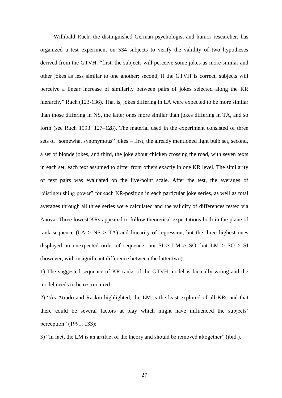Willibald Ruch, the distinguished German psychologist and humor researcher, has organized a test experiment on 534 subjects to verify the validity of two hypotheses derived from the GTVH: "first, the subjects will perceive some jokes as more similar and other jokes as less similar to one another; second, if the GTVH is correct, subjects will perceive a linear increase of similarity between pairs of jokes selected along the KR hierarchy" Ruch (123-136). That is, jokes differing in LA were expected to be more similar than those differing in NS, the latter ones more similar than jokes differing in TA, and so forth (see Ruch 1993: 127–128). The material used in the experiment consisted of three sets of "somewhat synonymous" jokes – first, the already mentioned light bulb set, second, a set of blonde jokes, and third, the joke about chicken crossing the road, with seven texts in each set, each text assumed to differ from others exactly in one KR level. The similarity of text pairs was evaluated on the five-point scale. After the test, the averages of "distinguishing power" for each KR-position in each particular joke series, as well as total averages through all three series were calculated and the validity of differences tested via Anova. Three lowest KRs appeared to follow theoretical expectations both in the plane of rank sequence  $(LA > NS > TA)$  and linearity of regression, but the three highest ones displayed an unexpected order of sequence: not  $SI > LM > SO$ , but  $LM > SO > SI$ (however, with insignificant difference between the latter two).

1) The suggested sequence of KR ranks of the GTVH model is factually wrong and the model needs to be restructured.

2) "As Atrado and Raskin highlighted, the LM is the least explored of all KRs and that there could be several factors at play which might have influenced the subjects" perception" (1991: 133);

3) "In fact, the LM is an artifact of the theory and should be removed altogether" (ibid.).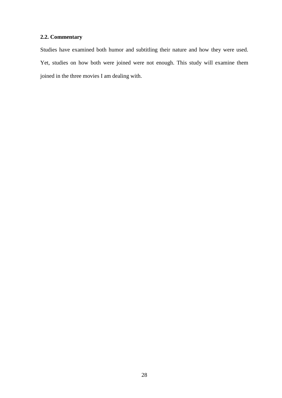# **2.2. Commentary**

Studies have examined both humor and subtitling their nature and how they were used. Yet, studies on how both were joined were not enough. This study will examine them joined in the three movies I am dealing with.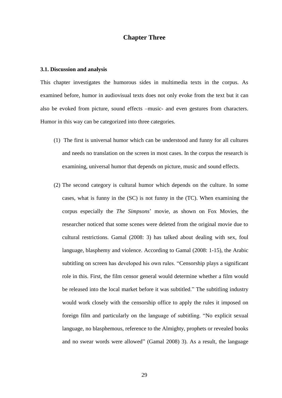## **Chapter Three**

### **3.1. Discussion and analysis**

This chapter investigates the humorous sides in multimedia texts in the corpus. As examined before, humor in audiovisual texts does not only evoke from the text but it can also be evoked from picture, sound effects –music- and even gestures from characters. Humor in this way can be categorized into three categories.

- (1) The first is universal humor which can be understood and funny for all cultures and needs no translation on the screen in most cases. In the corpus the research is examining, universal humor that depends on picture, music and sound effects.
- (2) The second category is cultural humor which depends on the culture. In some cases, what is funny in the (SC) is not funny in the (TC). When examining the corpus especially the *The Simpsons*" movie, as shown on Fox Movies, the researcher noticed that some scenes were deleted from the original movie due to cultural restrictions. Gamal (2008: 3) has talked about dealing with sex, foul language, blasphemy and violence. According to Gamal (2008: 1-15), the Arabic subtitling on screen has developed his own rules. "Censorship plays a significant role in this. First, the film censor general would determine whether a film would be released into the local market before it was subtitled." The subtitling industry would work closely with the censorship office to apply the rules it imposed on foreign film and particularly on the language of subtitling. "No explicit sexual language, no blasphemous, reference to the Almighty, prophets or revealed books and no swear words were allowed" (Gamal 2008) 3). As a result, the language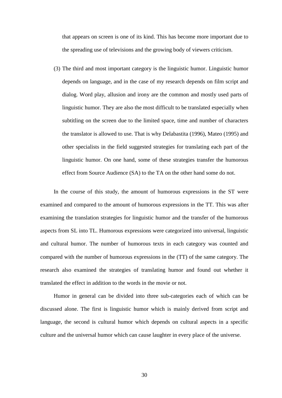that appears on screen is one of its kind. This has become more important due to the spreading use of televisions and the growing body of viewers criticism.

(3) The third and most important category is the linguistic humor. Linguistic humor depends on language, and in the case of my research depends on film script and dialog. Word play, allusion and irony are the common and mostly used parts of linguistic humor. They are also the most difficult to be translated especially when subtitling on the screen due to the limited space, time and number of characters the translator is allowed to use. That is why Delabastita (1996), Mateo (1995) and other specialists in the field suggested strategies for translating each part of the linguistic humor. On one hand, some of these strategies transfer the humorous effect from Source Audience (SA) to the TA on the other hand some do not.

In the course of this study, the amount of humorous expressions in the ST were examined and compared to the amount of humorous expressions in the TT. This was after examining the translation strategies for linguistic humor and the transfer of the humorous aspects from SL into TL. Humorous expressions were categorized into universal, linguistic and cultural humor. The number of humorous texts in each category was counted and compared with the number of humorous expressions in the (TT) of the same category. The research also examined the strategies of translating humor and found out whether it translated the effect in addition to the words in the movie or not.

Humor in general can be divided into three sub-categories each of which can be discussed alone. The first is linguistic humor which is mainly derived from script and language, the second is cultural humor which depends on cultural aspects in a specific culture and the universal humor which can cause laughter in every place of the universe.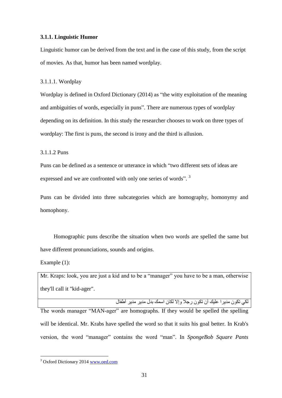## **3.1.1. Linguistic Humor**

Linguistic humor can be derived from the text and in the case of this study, from the script of movies. As that, humor has been named wordplay.

3.1.1.1. Wordplay

Wordplay is defined in Oxford Dictionary (2014) as "the witty exploitation of the meaning and ambiguities of words, especially in puns". There are numerous types of wordplay depending on its definition. In this study the researcher chooses to work on three types of wordplay: The first is puns, the second is irony and the third is allusion.

3.1.1.2 Puns

Puns can be defined as a sentence or utterance in which "two different sets of ideas are expressed and we are confronted with only one series of words".<sup>3</sup>

Puns can be divided into three subcategories which are homography, homonymy and homophony.

Homographic puns describe the situation when two words are spelled the same but have different pronunciations, sounds and origins.

Example (1):

1

Mr. Kraps: look, you are just a kid and to be a "manager" you have to be a man, otherwise they'll call it "kid-ager".

لكي نكون مديرا عليك أن نكون رجلا وإلا لكان اسمك بدل مدير مدير أطفال

The words manager "MAN-ager" are homographs. If they would be spelled the spelling will be identical. Mr. Krabs have spelled the word so that it suits his goal better. In Krab's version, the word "manager" contains the word "man". In *SpongeBob Square Pants*

<sup>3</sup> Oxford Dictionary 2014 [www.oed.com](http://www.oed.com/)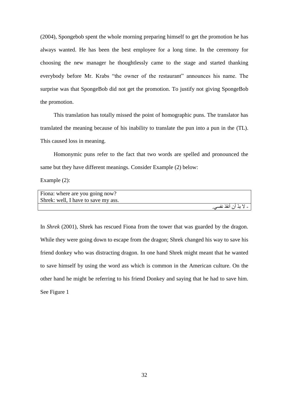(2004), Spongebob spent the whole morning preparing himself to get the promotion he has always wanted. He has been the best employee for a long time. In the ceremony for choosing the new manager he thoughtlessly came to the stage and started thanking everybody before Mr. Krabs "the owner of the restaurant" announces his name. The surprise was that SpongeBob did not get the promotion. To justify not giving SpongeBob the promotion.

This translation has totally missed the point of homographic puns. The translator has translated the meaning because of his inability to translate the pun into a pun in the (TL). This caused loss in meaning.

Homonymic puns refer to the fact that two words are spelled and pronounced the same but they have different meanings. Consider Example (2) below:

Example (2):

| Fiona: where are you going now?     |                        |
|-------------------------------------|------------------------|
| Shrek: well, I have to save my ass. |                        |
|                                     | - لا بدّ أن أنقذ نفسي. |

In *Shrek* (2001), Shrek has rescued Fiona from the tower that was guarded by the dragon. While they were going down to escape from the dragon; Shrek changed his way to save his friend donkey who was distracting dragon. In one hand Shrek might meant that he wanted to save himself by using the word ass which is common in the American culture. On the other hand he might be referring to his friend Donkey and saying that he had to save him. See Figure 1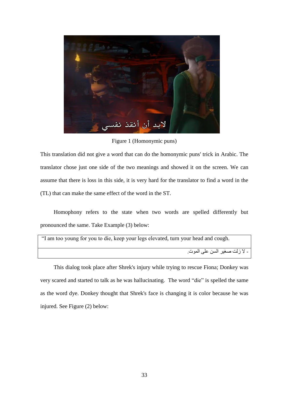

Figure 1 (Homonymic puns)

This translation did not give a word that can do the homonymic puns' trick in Arabic. The translator chose just one side of the two meanings and showed it on the screen. We can assume that there is loss in this side, it is very hard for the translator to find a word in the (TL) that can make the same effect of the word in the ST.

Homophony refers to the state when two words are spelled differently but pronounced the same. Take Example (3) below:

| "I am too young for you to die, keep your legs elevated, turn your head and cough. |
|------------------------------------------------------------------------------------|
| - لا زلت صغير السن على الموت                                                       |

This dialog took place after Shrek's injury while trying to rescue Fiona; Donkey was very scared and started to talk as he was hallucinating. The word "die" is spelled the same as the word dye. Donkey thought that Shrek's face is changing it is color because he was injured. See Figure (2) below: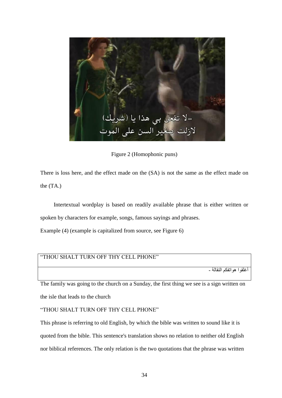

Figure 2 (Homophonic puns)

There is loss here, and the effect made on the (SA) is not the same as the effect made on the (TA.)

Intertextual wordplay is based on readily available phrase that is either written or spoken by characters for example, songs, famous sayings and phrases.

Example (4) (example is capitalized from source, see Figure 6)

## "THOU SHALT TURN OFF THY CELL PHONE"

أغلقو ا هو اتفكم النقالة -

The family was going to the church on a Sunday, the first thing we see is a sign written on the isle that leads to the church

"THOU SHALT TURN OFF THY CELL PHONE"

This phrase is referring to old English, by which the bible was written to sound like it is quoted from the bible. This sentence's translation shows no relation to neither old English nor biblical references. The only relation is the two quotations that the phrase was written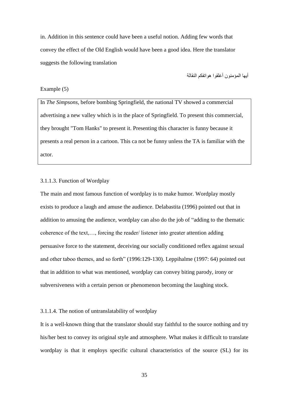in. Addition in this sentence could have been a useful notion. Adding few words that convey the effect of the Old English would have been a good idea. Here the translator suggests the following translation

أبِّها المؤمنون أغلقوا هو اتفكم النقالة

#### Example (5)

In *The Simpsons*, before bombing Springfield, the national TV showed a commercial advertising a new valley which is in the place of Springfield. To present this commercial, they brought "Tom Hanks" to present it. Presenting this character is funny because it presents a real person in a cartoon. This ca not be funny unless the TA is familiar with the actor.

## 3.1.1.3. Function of Wordplay

The main and most famous function of wordplay is to make humor. Wordplay mostly exists to produce a laugh and amuse the audience. Delabastita (1996) pointed out that in addition to amusing the audience, wordplay can also do the job of "adding to the thematic coherence of the text,…, forcing the reader/ listener into greater attention adding persuasive force to the statement, deceiving our socially conditioned reflex against sexual and other taboo themes, and so forth" (1996:129-130). Leppihalme (1997: 64) pointed out that in addition to what was mentioned, wordplay can convey biting parody, irony or subversiveness with a certain person or phenomenon becoming the laughing stock.

## 3.1.1.4. The notion of untranslatability of wordplay

It is a well-known thing that the translator should stay faithful to the source nothing and try his/her best to convey its original style and atmosphere. What makes it difficult to translate wordplay is that it employs specific cultural characteristics of the source (SL) for its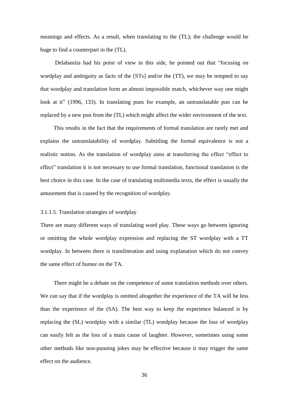meanings and effects. As a result, when translating to the (TL); the challenge would be huge to find a counterpart in the (TL).

Delabastita had his point of view in this side, he pointed out that "focusing on wordplay and ambiguity as facts of the [STs] and/or the (TT), we may be tempted to say that wordplay and translation form an almost impossible match, whichever way one might look at it" (1996, 133). In translating puns for example, an untranslatable pun can be replaced by a new pun from the (TL) which might affect the wider environment of the text.

This results in the fact that the requirements of formal translation are rarely met and explains the untranslatability of wordplay. Subtitling the formal equivalence is not a realistic notion. As the translation of wordplay aims at transferring the effect "effect to effect" translation it is not necessary to use formal translation, functional translation is the best choice in this case. In the case of translating multimedia texts, the effect is usually the amusement that is caused by the recognition of wordplay.

## 3.1.1.5. Translation strategies of wordplay

There are many different ways of translating word play. These ways go between ignoring or omitting the whole wordplay expression and replacing the ST wordplay with a TT wordplay. In between there is transliteration and using explanation which do not convey the same effect of humor on the TA.

There might be a debate on the competence of some translation methods over others. We can say that if the wordplay is omitted altogether the experience of the TA will be less than the experience of the (SA). The best way to keep the experience balanced is by replacing the (SL) wordplay with a similar (TL) wordplay because the loss of wordplay can easily felt as the loss of a main cause of laughter. However, sometimes using some other methods like non-punning jokes may be effective because it may trigger the same effect on the audience.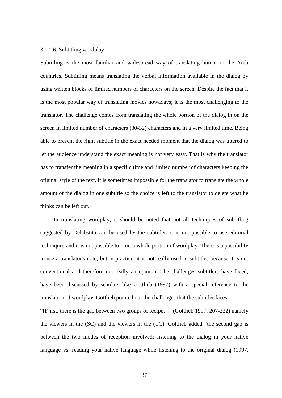## 3.1.1.6. Subtitling wordplay

Subtitling is the most familiar and widespread way of translating humor in the Arab countries. Subtitling means translating the verbal information available in the dialog by using written blocks of limited numbers of characters on the screen. Despite the fact that it is the most popular way of translating movies nowadays; it is the most challenging to the translator. The challenge comes from translating the whole portion of the dialog in on the screen in limited number of characters (30-32) characters and in a very limited time. Being able to present the right subtitle in the exact needed moment that the dialog was uttered to let the audience understand the exact meaning is not very easy. That is why the translator has to transfer the meaning in a specific time and limited number of characters keeping the original style of the text. It is sometimes impossible for the translator to translate the whole amount of the dialog in one subtitle so the choice is left to the translator to delete what he thinks can be left out.

In translating wordplay, it should be noted that not all techniques of subtitling suggested by Delabstita can be used by the subtitler: it is not possible to use editorial techniques and it is not possible to omit a whole portion of wordplay. There is a possibility to use a translator's note, but in practice, it is not really used in subtitles because it is not conventional and therefore not really an opinion. The challenges subtitlers have faced, have been discussed by scholars like Gottlieb (1997) with a special reference to the translation of wordplay. Gottlieb pointed out the challenges that the subtitler faces:

"[F]irst, there is the gap between two groups of recipe…" (Gottlieb 1997: 207-232) namely the viewers in the (SC) and the viewers in the (TC). Gottlieb added "the second gap is between the two modes of reception involved: listening to the dialog in your native language vs. reading your native language while listening to the original dialog (1997,

37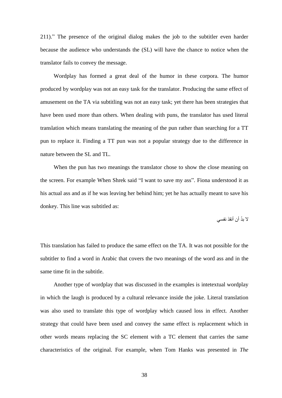211)." The presence of the original dialog makes the job to the subtitler even harder because the audience who understands the (SL) will have the chance to notice when the translator fails to convey the message.

Wordplay has formed a great deal of the humor in these corpora. The humor produced by wordplay was not an easy task for the translator. Producing the same effect of amusement on the TA via subtitling was not an easy task; yet there has been strategies that have been used more than others. When dealing with puns, the translator has used literal translation which means translating the meaning of the pun rather than searching for a TT pun to replace it. Finding a TT pun was not a popular strategy due to the difference in nature between the SL and TL.

When the pun has two meanings the translator chose to show the close meaning on the screen. For example When Shrek said "I want to save my ass". Fiona understood it as his actual ass and as if he was leaving her behind him; yet he has actually meant to save his donkey. This line was subtitled as:

لا بدّ أن أنقذ نفسى

This translation has failed to produce the same effect on the TA. It was not possible for the subtitler to find a word in Arabic that covers the two meanings of the word ass and in the same time fit in the subtitle.

Another type of wordplay that was discussed in the examples is intetextual wordplay in which the laugh is produced by a cultural relevance inside the joke. Literal translation was also used to translate this type of wordplay which caused loss in effect. Another strategy that could have been used and convey the same effect is replacement which in other words means replacing the SC element with a TC element that carries the same characteristics of the original. For example, when Tom Hanks was presented in *The*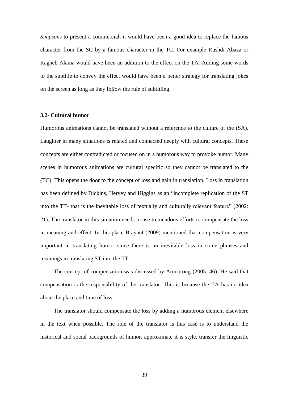*Simpsons* to present a commercial, it would have been a good idea to replace the famous character from the SC by a famous character in the TC. For example Rushdi Abaza or Ragheb Alama would have been an addition to the effect on the TA. Adding some words to the subtitle to convey the effect would have been a better strategy for translating jokes on the screen as long as they follow the rule of subtitling.

#### **3.2- Cultural humor**

Humorous animations cannot be translated without a reference to the culture of the (SA). Laughter in many situations is related and connected deeply with cultural concepts. These concepts are either contradicted or focused on in a humorous way to provoke humor. Many scenes in humorous animations are cultural specific so they cannot be translated to the (TC). This opens the door to the concept of loss and gain in translation. Loss in translation has been defined by Dickins, Hervey and Higgins as an "incomplete replication of the ST into the TT- that is the inevitable loss of textually and culturally relevant feature" (2002: 21). The translator in this situation needs to use tremendous efforts to compensate the loss in meaning and effect. In this place Brayant (2009) mentioned that compensation is very important in translating humor since there is an inevitable loss in some phrases and meanings in translating ST into the TT.

The concept of compensation was discussed by Armstrong (2005: 46). He said that compensation is the responsibility of the translator. This is because the TA has no idea about the place and time of loss.

The translator should compensate the loss by adding a humorous element elsewhere in the text when possible. The role of the translator is this case is to understand the historical and social backgrounds of humor, approximate it is style, transfer the linguistic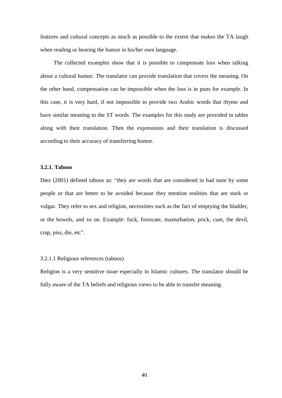features and cultural concepts as much as possible to the extent that makes the TA laugh when reading or hearing the humor in his/her own language.

The collected examples show that it is possible to compensate loss when talking about a cultural humor. The translator can provide translation that covers the meaning. On the other hand, compensation can be impossible when the loss is in puns for example. In this case, it is very hard, if not impossible to provide two Arabic words that rhyme and have similar meaning to the ST words. The examples for this study are provided in tables along with their translation. Then the expressions and their translation is discussed according to their accuracy of transferring humor.

#### **3.2.1. Taboos**

Diez (2001) defined taboos as: "they are words that are considered in bad taste by some people or that are better to be avoided because they mention realities that are stark or vulgar. They refer to sex and religion, necessities such as the fact of emptying the bladder, or the bowels, and so on. Example: fuck, fornicate, masturbation, prick, cunt, the devil, crap, piss, die, etc".

## 3.2.1.1 Religious references (taboos)

Religion is a very sensitive issue especially in Islamic cultures. The translator should be fully aware of the TA beliefs and religious views to be able to transfer meaning.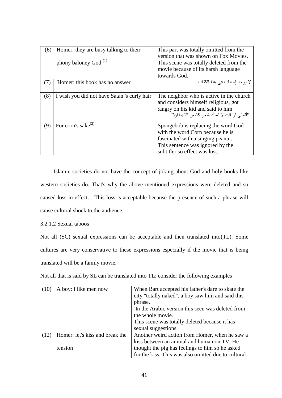| (6) | Homer: they are busy talking to their       | This part was totally omitted from the<br>version that was shown on Fox Movies.                                                                                                   |
|-----|---------------------------------------------|-----------------------------------------------------------------------------------------------------------------------------------------------------------------------------------|
|     | phony baloney God <sup>(1)</sup>            | This scene was totally deleted from the                                                                                                                                           |
|     |                                             | movie because of its harsh language                                                                                                                                               |
|     |                                             | towards God.                                                                                                                                                                      |
| (7) | Homer: this book has no answer              | لا يوجد إجابات في هذا الكتاب                                                                                                                                                      |
| (8) | I wish you did not have Satan 's curly hair | The neighbor who is active in the church<br>and considers himself religious, got<br>angry on his kid and said to him<br>"أتمني لو انك لا تملك شعر كشعر الشيطان"                   |
| (9) | For corn's sake <sup>(2)</sup>              | Spongebob is replacing the word God<br>with the word Corn because he is<br>fascinated with a singing peanut.<br>This sentence was ignored by the<br>subtitler so effect was lost. |

Islamic societies do not have the concept of joking about God and holy books like western societies do. That's why the above mentioned expressions were deleted and so caused loss in effect. . This loss is acceptable because the presence of such a phrase will cause cultural shock to the audience.

3.2.1.2 Sexual taboos

Not all (SC) sexual expressions can be acceptable and then translated into(TL). Some cultures are very conservative to these expressions especially if the movie that is being translated will be a family movie.

Not all that is said by SL can be translated into TL; consider the following examples

|      | A boy: I like men now           | When Bart accepted his father's dare to skate the<br>city "totally naked", a boy saw him and said this<br>phrase.<br>In the Arabic version this seen was deleted from<br>the whole movie.<br>This scene was totally deleted because it has<br>sexual suggestions. |
|------|---------------------------------|-------------------------------------------------------------------------------------------------------------------------------------------------------------------------------------------------------------------------------------------------------------------|
| (12) | Homer: let's kiss and break the | Another weird action from Homer, when he saw a<br>kiss between an animal and human on TV. He                                                                                                                                                                      |
|      | tension                         | thought the pig has feelings to him so he asked<br>for the kiss. This was also omitted due to cultural                                                                                                                                                            |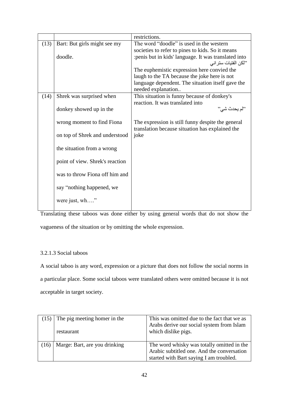|      |                                 | restrictions.                                                                                        |
|------|---------------------------------|------------------------------------------------------------------------------------------------------|
| (13) | Bart: But girls might see my    | The word "doodle" is used in the western                                                             |
|      |                                 | societies to refer to pines to kids. So it means                                                     |
|      | doodle.                         | : penis but in kids' language. It was translated into                                                |
|      |                                 | ''لكن الفتيات ستر اني                                                                                |
|      |                                 | The euphemistic expression here convied the                                                          |
|      |                                 | laugh to the TA because the joke here is not                                                         |
|      |                                 | language dependent. The situation itself gave the                                                    |
|      |                                 | needed explanation                                                                                   |
| (14) | Shrek was surprised when        | This situation is funny because of donkey's                                                          |
|      |                                 | reaction. It was translated into                                                                     |
|      | donkey showed up in the         | "لم يحدث شي"                                                                                         |
|      | wrong moment to find Fiona      | The expression is still funny despite the general<br>translation because situation has explained the |
|      | on top of Shrek and understood  | joke                                                                                                 |
|      | the situation from a wrong      |                                                                                                      |
|      | point of view. Shrek's reaction |                                                                                                      |
|      | was to throw Fiona off him and  |                                                                                                      |
|      | say "nothing happened, we       |                                                                                                      |
|      | were just, wh"                  |                                                                                                      |

Translating these taboos was done either by using general words that do not show the vagueness of the situation or by omitting the whole expression.

## 3.2.1.3 Social taboos

A social taboo is any word, expression or a picture that does not follow the social norms in a particular place. Some social taboos were translated others were omitted because it is not acceptable in target society.

| The pig meeting homer in the<br>restaurant | This was omitted due to the fact that we as<br>Arabs derive our social system from Islam<br>which dislike pigs.                     |
|--------------------------------------------|-------------------------------------------------------------------------------------------------------------------------------------|
| Marge: Bart, are you drinking              | The word whisky was totally omitted in the<br>Arabic subtitled one. And the conversation<br>started with Bart saying I am troubled. |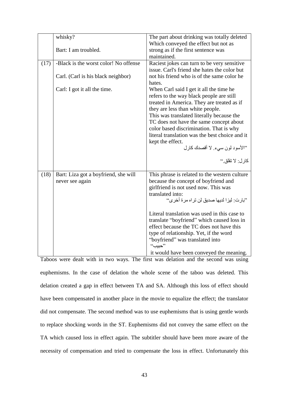|      | whisky?                               | The part about drinking was totally deleted<br>Which conveyed the effect but not as |
|------|---------------------------------------|-------------------------------------------------------------------------------------|
|      | Bart: I am troubled.                  | strong as if the first sentence was                                                 |
|      |                                       | maintained.                                                                         |
| (17) | -Black is the worst color! No offense | Raciest jokes can turn to be very sensitive                                         |
|      |                                       | issue. Carl's friend she hates the color but                                        |
|      | Carl. (Carl is his black neighbor)    | not his friend who is of the same color he                                          |
|      |                                       | hates.                                                                              |
|      | Carl: I got it all the time.          | When Carl said I get it all the time he                                             |
|      |                                       | refers to the way black people are still                                            |
|      |                                       | treated in America. They are treated as if<br>they are less than white people.      |
|      |                                       | This was translated literally because the                                           |
|      |                                       | TC does not have the same concept about                                             |
|      |                                       | color based discrimination. That is why                                             |
|      |                                       | literal translation was the best choice and it                                      |
|      |                                       | kept the effect.                                                                    |
|      |                                       | "الأسود لون سيء لا أقصدك كارل                                                       |
|      |                                       | كار ل: لا تقلق.''                                                                   |
|      |                                       |                                                                                     |
| (18) | Bart: Liza got a boyfriend, she will  | This phrase is related to the western culture                                       |
|      | never see again                       | because the concept of boyfriend and                                                |
|      |                                       | girlfriend is not used now. This was                                                |
|      |                                       | translated into:                                                                    |
|      |                                       | "بار ت: ليز ا لديها صديق لن تر اه مر ة أخر ي"                                       |
|      |                                       | Literal translation was used in this case to                                        |
|      |                                       | translate "boyfriend" which caused loss in                                          |
|      |                                       | effect because the TC does not have this                                            |
|      |                                       | type of relationship. Yet, if the word                                              |
|      |                                       | "boyfriend" was translated into<br>$``\rightarrow$                                  |
|      |                                       | it would have been conveyed the meaning.                                            |

Taboos were dealt with in two ways. The first was delation and the second was using euphemisms. In the case of delation the whole scene of the taboo was deleted. This delation created a gap in effect between TA and SA. Although this loss of effect should have been compensated in another place in the movie to equalize the effect; the translator did not compensate. The second method was to use euphemisms that is using gentle words to replace shocking words in the ST. Euphemisms did not convey the same effect on the TA which caused loss in effect again. The subtitler should have been more aware of the necessity of compensation and tried to compensate the loss in effect. Unfortunately this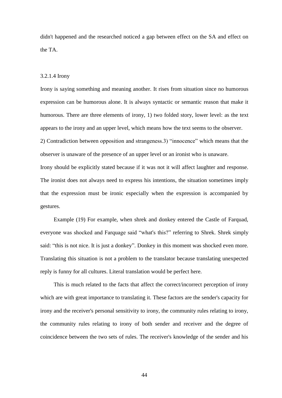didn't happened and the researched noticed a gap between effect on the SA and effect on the TA.

## 3.2.1.4 Irony

Irony is saying something and meaning another. It rises from situation since no humorous expression can be humorous alone. It is always syntactic or semantic reason that make it humorous. There are three elements of irony, 1) two folded story, lower level: as the text appears to the irony and an upper level, which means how the text seems to the observer.

2) Contradiction between opposition and strangeness.3) "innocence" which means that the observer is unaware of the presence of an upper level or an ironist who is unaware.

Irony should be explicitly stated because if it was not it will affect laughter and response. The ironist does not always need to express his intentions, the situation sometimes imply that the expression must be ironic especially when the expression is accompanied by gestures.

Example (19) For example, when shrek and donkey entered the Castle of Farquad, everyone was shocked and Farquage said "what's this?" referring to Shrek. Shrek simply said: "this is not nice. It is just a donkey". Donkey in this moment was shocked even more. Translating this situation is not a problem to the translator because translating unexpected reply is funny for all cultures. Literal translation would be perfect here.

This is much related to the facts that affect the correct/incorrect perception of irony which are with great importance to translating it. These factors are the sender's capacity for irony and the receiver's personal sensitivity to irony, the community rules relating to irony, the community rules relating to irony of both sender and receiver and the degree of coincidence between the two sets of rules. The receiver's knowledge of the sender and his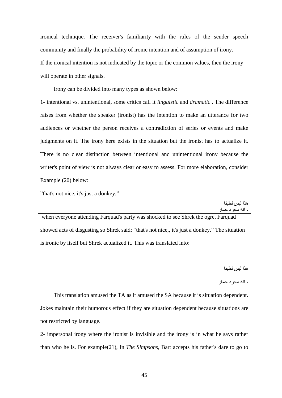ironical technique. The receiver's familiarity with the rules of the sender speech community and finally the probability of ironic intention and of assumption of irony. If the ironical intention is not indicated by the topic or the common values, then the irony will operate in other signals.

Irony can be divided into many types as shown below:

1- intentional vs. unintentional, some critics call it *linguistic* and *dramatic* . The difference raises from whether the speaker (ironist) has the intention to make an utterance for two audiences or whether the person receives a contradiction of series or events and make judgments on it. The irony here exists in the situation but the ironist has to actualize it. There is no clear distinction between intentional and unintentional irony because the writer's point of view is not always clear or easy to assess. For more elaboration, consider Example (20) below:

| "that's not nice, it's just a donkey."                                             |
|------------------------------------------------------------------------------------|
| هذا لبس لطبفا                                                                      |
| ۔ انه مجر د حمار                                                                   |
| when everyone attending Farquad's party was shocked to see Shrek the ogre, Farquad |

showed acts of disgusting so Shrek said: "that's not nice,, it's just a donkey." The situation is ironic by itself but Shrek actualized it. This was translated into:

هذا ليس لطيفا

- انه مجر د حمار

This translation amused the TA as it amused the SA because it is situation dependent. Jokes maintain their humorous effect if they are situation dependent because situations are not restricted by language.

2- impersonal irony where the ironist is invisible and the irony is in what he says rather than who he is. For example(21), In *The Simpsons*, Bart accepts his father's dare to go to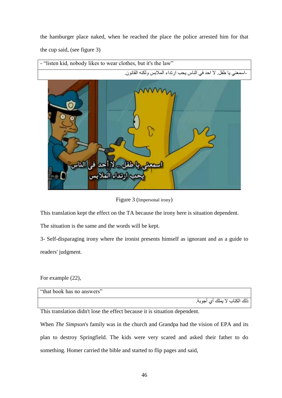the hamburger place naked, when he reached the place the police arrested him for that the cup said, (see figure 3)



This translation kept the effect on the TA because the irony here is situation dependent.

The situation is the same and the words will be kept.

3- Self-disparaging irony where the ironist presents himself as ignorant and as a guide to readers' judgment.

For example (22),

| "that book has no answers" |  |                      |          |       |
|----------------------------|--|----------------------|----------|-------|
|                            |  | $\ddot{\phantom{1}}$ | $\cdots$ | . 7.7 |

ذلك الكتاب لا يملك اي اجوبه.

This translation didn't lose the effect because it is situation dependent.

When *The Simpson*'s family was in the church and Grandpa had the vision of EPA and its plan to destroy Springfield. The kids were very scared and asked their father to do something. Homer carried the bible and started to flip pages and said,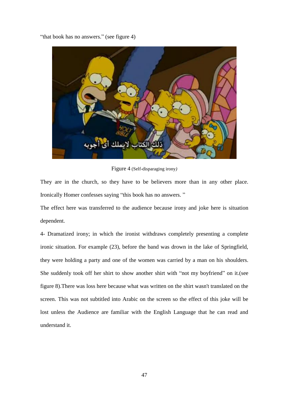"that book has no answers." (see figure 4)



Figure 4 (Self-disparaging irony*)*

They are in the church, so they have to be believers more than in any other place. Ironically Homer confesses saying "this book has no answers. "

The effect here was transferred to the audience because irony and joke here is situation dependent.

4- Dramatized irony; in which the ironist withdraws completely presenting a complete ironic situation. For example (23), before the band was drown in the lake of Springfield, they were holding a party and one of the women was carried by a man on his shoulders. She suddenly took off her shirt to show another shirt with "not my boyfriend" on it.(see figure 8).There was loss here because what was written on the shirt wasn't translated on the screen. This was not subtitled into Arabic on the screen so the effect of this joke will be lost unless the Audience are familiar with the English Language that he can read and understand it.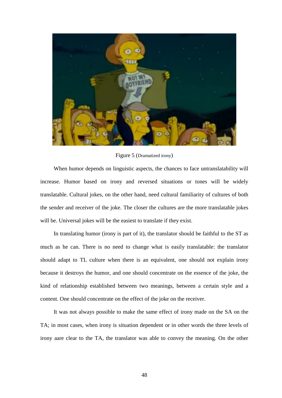

Figure 5 (Dramatized irony)

When humor depends on linguistic aspects, the chances to face untranslatability will increase. Humor based on irony and reversed situations or tones will be widely translatable. Cultural jokes, on the other hand, need cultural familiarity of cultures of both the sender and receiver of the joke. The closer the cultures are the more translatable jokes will be. Universal jokes will be the easiest to translate if they exist.

In translating humor (irony is part of it), the translator should be faithful to the ST as much as he can. There is no need to change what is easily translatable: the translator should adapt to TL culture when there is an equivalent, one should not explain irony because it destroys the humor, and one should concentrate on the essence of the joke, the kind of relationship established between two meanings, between a certain style and a content. One should concentrate on the effect of the joke on the receiver.

It was not always possible to make the same effect of irony made on the SA on the TA; in most cases, when irony is situation dependent or in other words the three levels of irony aare clear to the TA, the translator was able to convey the meaning. On the other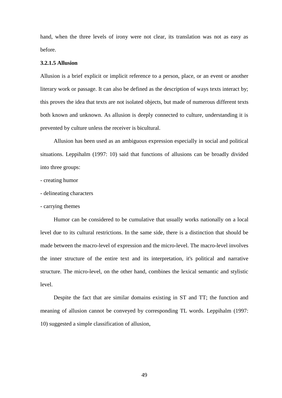hand, when the three levels of irony were not clear, its translation was not as easy as before.

## **3.2.1.5 Allusion**

Allusion is a brief explicit or implicit reference to a person, place, or an event or another literary work or passage. It can also be defined as the description of ways texts interact by; this proves the idea that texts are not isolated objects, but made of numerous different texts both known and unknown. As allusion is deeply connected to culture, understanding it is prevented by culture unless the receiver is bicultural.

Allusion has been used as an ambiguous expression especially in social and political situations. Leppihalm (1997: 10) said that functions of allusions can be broadly divided into three groups:

- creating humor
- delineating characters
- carrying themes

Humor can be considered to be cumulative that usually works nationally on a local level due to its cultural restrictions. In the same side, there is a distinction that should be made between the macro-level of expression and the micro-level. The macro-level involves the inner structure of the entire text and its interpretation, it's political and narrative structure. The micro-level, on the other hand, combines the lexical semantic and stylistic level.

Despite the fact that are similar domains existing in ST and TT; the function and meaning of allusion cannot be conveyed by corresponding TL words. Leppihalm (1997: 10) suggested a simple classification of allusion,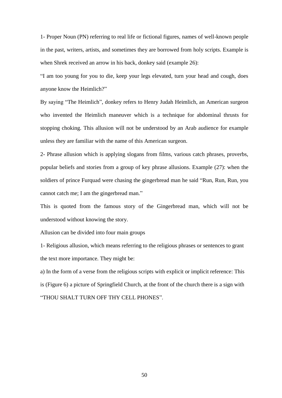1- Proper Noun (PN) referring to real life or fictional figures, names of well-known people in the past, writers, artists, and sometimes they are borrowed from holy scripts. Example is when Shrek received an arrow in his back, donkey said (example 26):

"I am too young for you to die, keep your legs elevated, turn your head and cough, does anyone know the Heimlich?"

By saying "The Heimlich", donkey refers to Henry Judah Heimlich, an American surgeon who invented the Heimlich maneuver which is a technique for abdominal thrusts for stopping choking. This allusion will not be understood by an Arab audience for example unless they are familiar with the name of this American surgeon.

2- Phrase allusion which is applying slogans from films, various catch phrases, proverbs, popular beliefs and stories from a group of key phrase allusions. Example (27): when the soldiers of prince Furquad were chasing the gingerbread man he said "Run, Run, Run, you cannot catch me; I am the gingerbread man."

This is quoted from the famous story of the Gingerbread man, which will not be understood without knowing the story.

Allusion can be divided into four main groups

1- Religious allusion, which means referring to the religious phrases or sentences to grant the text more importance. They might be:

a) In the form of a verse from the religious scripts with explicit or implicit reference: This is (Figure 6) a picture of Springfield Church, at the front of the church there is a sign with "THOU SHALT TURN OFF THY CELL PHONES".

50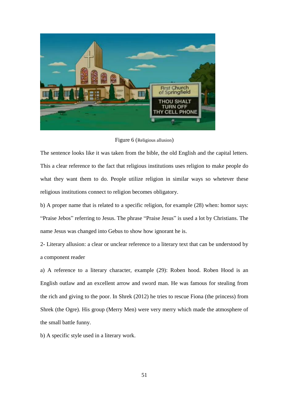

Figure 6 (Religious allusion)

The sentence looks like it was taken from the bible, the old English and the capital letters. This a clear reference to the fact that religious institutions uses religion to make people do what they want them to do. People utilize religion in similar ways so whetever these religious institutions connect to religion becomes obligatory.

b) A proper name that is related to a specific religion, for example (28) when: homor says: "Praise Jebos" referring to Jesus. The phrase "Praise Jesus" is used a lot by Christians. The name Jesus was changed into Gebus to show how ignorant he is.

2- Literary allusion: a clear or unclear reference to a literary text that can be understood by a component reader

a) A reference to a literary character, example (29): Roben hood. Roben Hood is an English outlaw and an excellent arrow and sword man. He was famous for stealing from the rich and giving to the poor. In Shrek (2012) he tries to rescue Fiona (the princess) from Shrek (the Ogre). His group (Merry Men) were very merry which made the atmosphere of the small battle funny.

b) A specific style used in a literary work.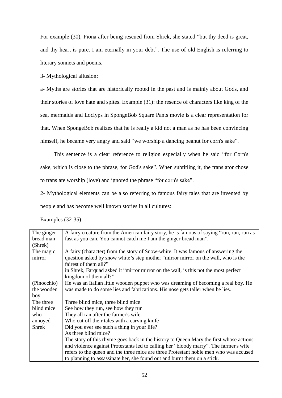For example (30), Fiona after being rescued from Shrek, she stated "but thy deed is great, and thy heart is pure. I am eternally in your debt". The use of old English is referring to literary sonnets and poems.

3- Mythological allusion:

a- Myths are stories that are historically rooted in the past and is mainly about Gods, and their stories of love hate and spites. Example (31): the resence of characters like king of the sea, mermaids and Loclyps in SpongeBob Square Pants movie is a clear representation for that. When SpongeBob realizes that he is really a kid not a man as he has been convincing himself, he became very angry and said "we worship a dancing peanut for corn's sake".

This sentence is a clear reference to religion especially when he said "for Corn's sake, which is close to the phrase, for God's sake". When subtitling it, the translator chose to translate worship (love) and ignored the phrase "for corn's sake".

2- Mythological elements can be also referring to famous fairy tales that are invented by

people and has become well known stories in all cultures:

Examples (32-35):

| The ginger<br>bread man | A fairy creature from the American fairy story, he is famous of saying "run, run, run as<br>fast as you can. You cannot catch me I am the ginger bread man". |
|-------------------------|--------------------------------------------------------------------------------------------------------------------------------------------------------------|
| (Shrek)                 |                                                                                                                                                              |
| The magic               | A fairy (character) from the story of Snow-white. It was famous of answering the                                                                             |
| mirror                  | question asked by snow white's step mother "mirror mirror on the wall, who is the                                                                            |
|                         | fairest of them all?"                                                                                                                                        |
|                         | in Shrek, Farquad asked it "mirror mirror on the wall, is this not the most perfect                                                                          |
|                         | kingdom of them all?"                                                                                                                                        |
| (Pinocchio)             | He was an Italian little wooden puppet who was dreaming of becoming a real boy. He                                                                           |
| the wooden              | was made to do some lies and fabrications. His nose gets taller when he lies.                                                                                |
| boy                     |                                                                                                                                                              |
| The three               | Three blind mice, three blind mice                                                                                                                           |
| blind mice              | See how they run, see how they run                                                                                                                           |
| who                     | They all ran after the farmer's wife                                                                                                                         |
| annoyed                 | Who cut off their tales with a carving knife                                                                                                                 |
| <b>Shrek</b>            | Did you ever see such a thing in your life?                                                                                                                  |
|                         | As three blind mice?                                                                                                                                         |
|                         | The story of this rhyme goes back in the history to Queen Mary the first whose actions                                                                       |
|                         | and violence against Protestants led to calling her "bloody marry". The farmer's wife                                                                        |
|                         | refers to the queen and the three mice are three Protestant noble men who was accused                                                                        |
|                         | to planning to assassinate her, she found out and burnt them on a stick.                                                                                     |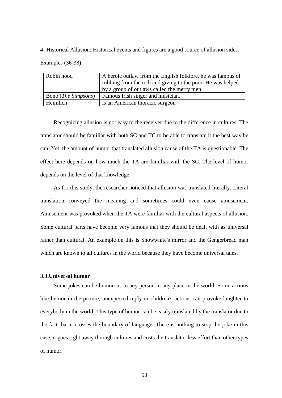4- Historical Allusion: Historical events and figures are a good source of allusion sides.

Examples (36-38)

| Robin hood                          | A heroic outlaw from the English folklore, he was famous of |
|-------------------------------------|-------------------------------------------------------------|
|                                     | rubbing from the rich and giving to the poor. He was helped |
|                                     | by a group of outlaws called the merry men.                 |
| <b>Bono</b> ( <i>The Simpsons</i> ) | <b>Famous Irish singer and musician.</b>                    |
| Heimlich                            | is an American thoracic surgeon                             |

Recognizing allusion is not easy to the receiver due to the difference in cultures. The translator should be familiar with both SC and TC to be able to translate it the best way he can. Yet, the amount of humor that translated allusion cause of the TA is questionable. The effect here depends on how much the TA are familiar with the SC. The level of humor depends on the level of that knowledge.

As for this study, the researcher noticed that allusion was translated literally. Literal translation conveyed the meaning and sometimes could even cause amusement. Amusement was provoked when the TA were familiar with the cultural aspects of allusion. Some cultural parts have become very famous that they should be dealt with as universal rather than cultural. An example on this is Snowwhite's mirror and the Gengerbread man which are known to all cultures in the world because they have become universal tales.

## **3.3.Universal humor**

Some jokes can be humorous to any person in any place in the world. Some actions like humor in the picture, unexpected reply or children's actions can provoke laughter to everybody in the world. This type of humor can be easily translated by the translator due to the fact that it crosses the boundary of language. There is nothing to stop the joke in this case, it goes right away through cultures and costs the translator less effort than other types of humor.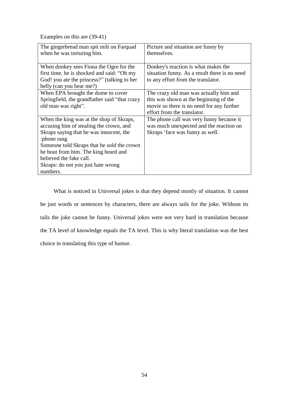Examples on this are (39-41)

| The gingerbread man spit milt on Farquad<br>when he was torturing him.                                                                                                                                                                                                                                           | Picture and situation are funny by<br>themselves.                                                                                                            |
|------------------------------------------------------------------------------------------------------------------------------------------------------------------------------------------------------------------------------------------------------------------------------------------------------------------|--------------------------------------------------------------------------------------------------------------------------------------------------------------|
| When donkey sees Fiona the Ogre for the<br>first time, he is shocked and said: "Oh my<br>God! you ate the princess?" (talking to her<br>belly (can you hear me?)                                                                                                                                                 | Donkey's reaction is what makes the<br>situation funny. As a result there is no need<br>to any effort from the translator.                                   |
| When EPA brought the dome to cover<br>Springfield, the grandfather said "that crazy<br>old man was right".                                                                                                                                                                                                       | The crazy old man was actually him and<br>this was shown at the beginning of the<br>movie so there is no need for any further<br>effort from the translator. |
| When the king was at the shop of Skraps,<br>accusing him of stealing the crown, and<br>Skraps saying that he was innocent, the<br>:phone rang<br>Someone told Skraps that he sold the crown<br>he bout from him. The king heard and<br>believed the fake call.<br>Skraps: do not you just hate wrong<br>numbers. | The phone call was very funny because it<br>was much unexpected and the reaction on<br>Skraps 'face was funny as well.                                       |

What is noticed in Universal jokes is that they depend mostly of situation. It cannot be just words or sentences by characters, there are always tails for the joke. Without its tails the joke cannot be funny. Universal jokes were not very hard in translation because the TA level of knowledge equals the TA level. This is why literal translation was the best choice in translating this type of humor.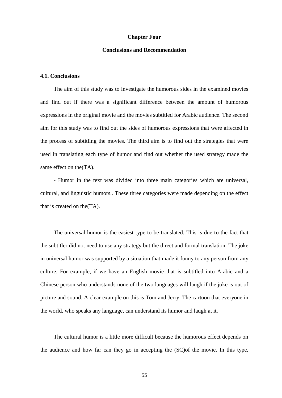#### **Chapter Four**

## **Conclusions and Recommendation**

## **4.1. Conclusions**

The aim of this study was to investigate the humorous sides in the examined movies and find out if there was a significant difference between the amount of humorous expressions in the original movie and the movies subtitled for Arabic audience. The second aim for this study was to find out the sides of humorous expressions that were affected in the process of subtitling the movies. The third aim is to find out the strategies that were used in translating each type of humor and find out whether the used strategy made the same effect on the  $(TA)$ .

- Humor in the text was divided into three main categories which are universal, cultural, and linguistic humors.. These three categories were made depending on the effect that is created on the(TA).

The universal humor is the easiest type to be translated. This is due to the fact that the subtitler did not need to use any strategy but the direct and formal translation. The joke in universal humor was supported by a situation that made it funny to any person from any culture. For example, if we have an English movie that is subtitled into Arabic and a Chinese person who understands none of the two languages will laugh if the joke is out of picture and sound. A clear example on this is Tom and Jerry. The cartoon that everyone in the world, who speaks any language, can understand its humor and laugh at it.

The cultural humor is a little more difficult because the humorous effect depends on the audience and how far can they go in accepting the (SC)of the movie. In this type,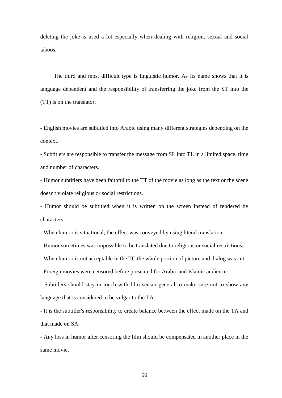deleting the joke is used a lot especially when dealing with religion, sexual and social taboos.

The third and most difficult type is linguistic humor. As its name shows that it is language dependent and the responsibility of transferring the joke from the ST into the (TT) is on the translator.

- English movies are subtitled into Arabic using many different strategies depending on the context.

- Subtitlers are responsible to transfer the message from SL into TL in a limited space, time and number of characters.

- Humor subtitlers have been faithful to the TT of the movie as long as the text or the scene doesn't violate religious or social restrictions.

- Humor should be subtitled when it is written on the screen instead of rendered by characters.

- When humor is situational; the effect was conveyed by using literal translation.

- Humor sometimes was impossible to be translated due to religious or social restrictions.

- When humor is not acceptable in the TC the whole portion of picture and dialog was cut.

- Foreign movies were censored before presented for Arabic and Islamic audience.

- Subtitlers should stay in touch with film sensor general to make sure not to show any language that is considered to be vulgar to the TA.

- It is the subtitler's responsibility to create balance between the effect made on the TA and that made on SA.

- Any loss in humor after censoring the film should be compensated in another place in the same movie.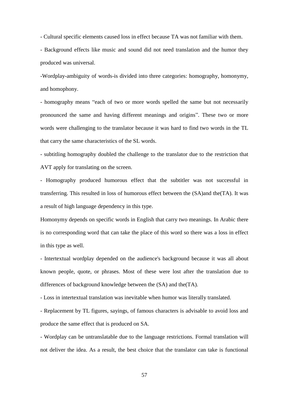- Cultural specific elements caused loss in effect because TA was not familiar with them.

- Background effects like music and sound did not need translation and the humor they produced was universal.

-Wordplay-ambiguity of words-is divided into three categories: homography, homonymy, and homophony.

- homography means "each of two or more words spelled the same but not necessarily pronounced the same and having different meanings and origins". These two or more words were challenging to the translator because it was hard to find two words in the TL that carry the same characteristics of the SL words.

- subtitling homography doubled the challenge to the translator due to the restriction that AVT apply for translating on the screen.

- Homography produced humorous effect that the subtitler was not successful in transferring. This resulted in loss of humorous effect between the (SA)and the(TA). It was a result of high language dependency in this type.

Homonymy depends on specific words in English that carry two meanings. In Arabic there is no corresponding word that can take the place of this word so there was a loss in effect in this type as well.

- Intertextual wordplay depended on the audience's background because it was all about known people, quote, or phrases. Most of these were lost after the translation due to differences of background knowledge between the (SA) and the(TA).

- Loss in intertextual translation was inevitable when humor was literally translated.

- Replacement by TL figures, sayings, of famous characters is advisable to avoid loss and produce the same effect that is produced on SA.

- Wordplay can be untranslatable due to the language restrictions. Formal translation will not deliver the idea. As a result, the best choice that the translator can take is functional

57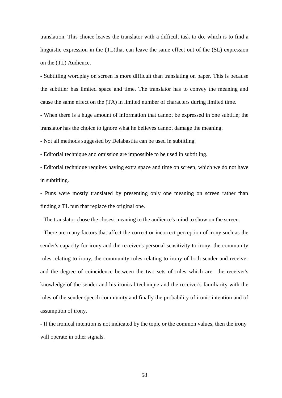translation. This choice leaves the translator with a difficult task to do, which is to find a linguistic expression in the (TL)that can leave the same effect out of the (SL) expression on the (TL) Audience.

- Subtitling wordplay on screen is more difficult than translating on paper. This is because the subtitler has limited space and time. The translator has to convey the meaning and cause the same effect on the (TA) in limited number of characters during limited time.

- When there is a huge amount of information that cannot be expressed in one subtitle; the translator has the choice to ignore what he believes cannot damage the meaning.

- Not all methods suggested by Delabastita can be used in subtitling.

- Editorial technique and omission are impossible to be used in subtitling.

- Editorial technique requires having extra space and time on screen, which we do not have in subtitling.

- Puns were mostly translated by presenting only one meaning on screen rather than finding a TL pun that replace the original one.

- The translator chose the closest meaning to the audience's mind to show on the screen.

- There are many factors that affect the correct or incorrect perception of irony such as the sender's capacity for irony and the receiver's personal sensitivity to irony, the community rules relating to irony, the community rules relating to irony of both sender and receiver and the degree of coincidence between the two sets of rules which are the receiver's knowledge of the sender and his ironical technique and the receiver's familiarity with the rules of the sender speech community and finally the probability of ironic intention and of assumption of irony.

- If the ironical intention is not indicated by the topic or the common values, then the irony will operate in other signals.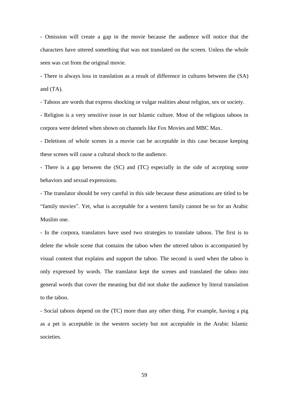- Omission will create a gap in the movie because the audience will notice that the characters have uttered something that was not translated on the screen. Unless the whole seen was cut from the original movie.

- There is always loss in translation as a result of difference in cultures between the (SA) and (TA).

- Taboos are words that express shocking or vulgar realities about religion, sex or society.

- Religion is a very sensitive issue in our Islamic culture. Most of the religious taboos in corpora were deleted when shown on channels like Fox Movies and MBC Max.

- Deletions of whole scenes in a movie can be acceptable in this case because keeping these scenes will cause a cultural shock to the audience.

- There is a gap between the (SC) and (TC) especially in the side of accepting some behaviors and sexual expressions.

- The translator should be very careful in this side because these animations are titled to be "family movies". Yet, what is acceptable for a western family cannot be so for an Arabic Muslim one.

- In the corpora, translators have used two strategies to translate taboos. The first is to delete the whole scene that contains the taboo when the uttered taboo is accompanied by visual content that explains and support the taboo. The second is used when the taboo is only expressed by words. The translator kept the scenes and translated the taboo into general words that cover the meaning but did not shake the audience by literal translation to the taboo.

- Social taboos depend on the (TC) more than any other thing. For example, having a pig as a pet is acceptable in the western society but not acceptable in the Arabic Islamic societies.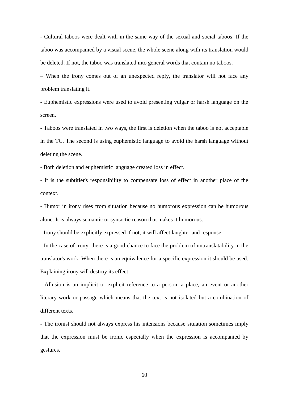- Cultural taboos were dealt with in the same way of the sexual and social taboos. If the taboo was accompanied by a visual scene, the whole scene along with its translation would be deleted. If not, the taboo was translated into general words that contain no taboos.

– When the irony comes out of an unexpected reply, the translator will not face any problem translating it.

- Euphemistic expressions were used to avoid presenting vulgar or harsh language on the screen.

- Taboos were translated in two ways, the first is deletion when the taboo is not acceptable in the TC. The second is using euphemistic language to avoid the harsh language without deleting the scene.

- Both deletion and euphemistic language created loss in effect.

- It is the subtitler's responsibility to compensate loss of effect in another place of the context.

- Humor in irony rises from situation because no humorous expression can be humorous alone. It is always semantic or syntactic reason that makes it humorous.

- Irony should be explicitly expressed if not; it will affect laughter and response.

- In the case of irony, there is a good chance to face the problem of untranslatability in the translator's work. When there is an equivalence for a specific expression it should be used. Explaining irony will destroy its effect.

- Allusion is an implicit or explicit reference to a person, a place, an event or another literary work or passage which means that the text is not isolated but a combination of different texts.

- The ironist should not always express his intensions because situation sometimes imply that the expression must be ironic especially when the expression is accompanied by gestures.

60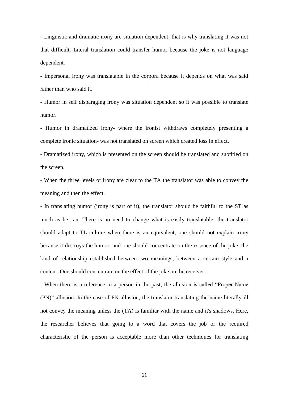- Linguistic and dramatic irony are situation dependent; that is why translating it was not that difficult. Literal translation could transfer humor because the joke is not language dependent.

- Impersonal irony was translatable in the corpora because it depends on what was said rather than who said it.

- Humor in self disparaging irony was situation dependent so it was possible to translate humor.

- Humor in dramatized irony- where the ironist withdraws completely presenting a complete ironic situation- was not translated on screen which created loss in effect.

- Dramatized irony, which is presented on the screen should be translated and subtitled on the screen.

- When the three levels or irony are clear to the TA the translator was able to convey the meaning and then the effect.

- In translating humor (irony is part of it), the translator should be faithful to the ST as much as he can. There is no need to change what is easily translatable: the translator should adapt to TL culture when there is an equivalent, one should not explain irony because it destroys the humor, and one should concentrate on the essence of the joke, the kind of relationship established between two meanings, between a certain style and a content. One should concentrate on the effect of the joke on the receiver.

- When there is a reference to a person in the past, the allusion is called "Proper Name (PN)" allusion. In the case of PN allusion, the translator translating the name literally ill not convey the meaning unless the (TA) is familiar with the name and it's shadows. Here, the researcher believes that going to a word that covers the job or the required characteristic of the person is acceptable more than other techniques for translating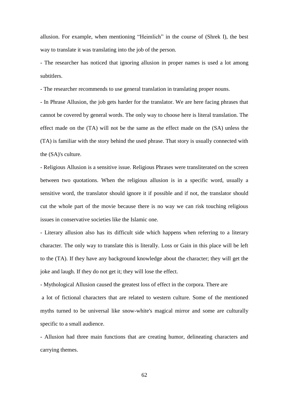allusion. For example, when mentioning "Heimlich" in the course of (Shrek I), the best way to translate it was translating into the job of the person.

- The researcher has noticed that ignoring allusion in proper names is used a lot among subtitlers.

- The researcher recommends to use general translation in translating proper nouns.

- In Phrase Allusion, the job gets harder for the translator. We are here facing phrases that cannot be covered by general words. The only way to choose here is literal translation. The effect made on the (TA) will not be the same as the effect made on the (SA) unless the (TA) is familiar with the story behind the used phrase. That story is usually connected with the (SA)'s culture.

- Religious Allusion is a sensitive issue. Religious Phrases were transliterated on the screen between two quotations. When the religious allusion is in a specific word, usually a sensitive word, the translator should ignore it if possible and if not, the translator should cut the whole part of the movie because there is no way we can risk touching religious issues in conservative societies like the Islamic one.

- Literary allusion also has its difficult side which happens when referring to a literary character. The only way to translate this is literally. Loss or Gain in this place will be left to the (TA). If they have any background knowledge about the character; they will get the joke and laugh. If they do not get it; they will lose the effect.

- Mythological Allusion caused the greatest loss of effect in the corpora. There are

a lot of fictional characters that are related to western culture. Some of the mentioned myths turned to be universal like snow-white's magical mirror and some are culturally specific to a small audience.

- Allusion had three main functions that are creating humor, delineating characters and carrying themes.

62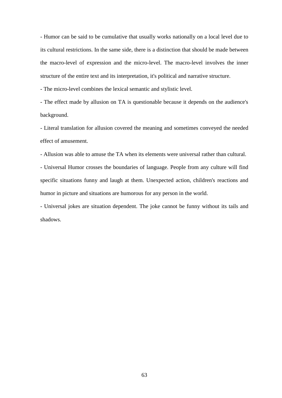- Humor can be said to be cumulative that usually works nationally on a local level due to its cultural restrictions. In the same side, there is a distinction that should be made between the macro-level of expression and the micro-level. The macro-level involves the inner structure of the entire text and its interpretation, it's political and narrative structure.

- The micro-level combines the lexical semantic and stylistic level.

- The effect made by allusion on TA is questionable because it depends on the audience's background.

- Literal translation for allusion covered the meaning and sometimes conveyed the needed effect of amusement.

- Allusion was able to amuse the TA when its elements were universal rather than cultural.

- Universal Humor crosses the boundaries of language. People from any culture will find specific situations funny and laugh at them. Unexpected action, children's reactions and humor in picture and situations are humorous for any person in the world.

- Universal jokes are situation dependent. The joke cannot be funny without its tails and shadows.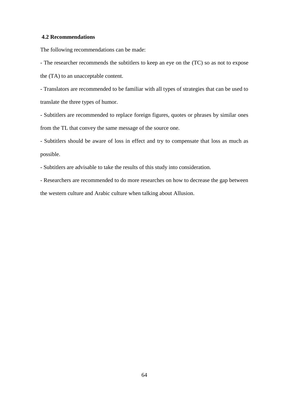## **4.2 Recommendations**

The following recommendations can be made:

- The researcher recommends the subtitlers to keep an eye on the (TC) so as not to expose the (TA) to an unacceptable content.

- Translators are recommended to be familiar with all types of strategies that can be used to translate the three types of humor.

- Subtitlers are recommended to replace foreign figures, quotes or phrases by similar ones from the TL that convey the same message of the source one.

- Subtitlers should be aware of loss in effect and try to compensate that loss as much as possible.

- Subtitlers are advisable to take the results of this study into consideration.

- Researchers are recommended to do more researches on how to decrease the gap between the western culture and Arabic culture when talking about Allusion.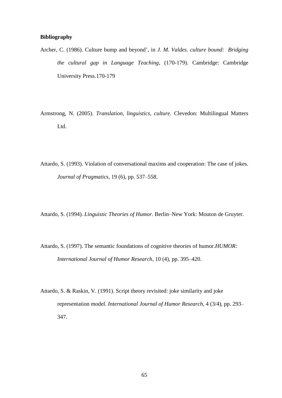## **Bibliography**

- Archer, C. (1986). Culture bump and beyond', in *J. M. Valdes. culture bound: Bridging the cultural gap in Language Teaching*, (170-179). Cambridge: Cambridge University Press.170-179
- Armstrong, N. (2005). *Translation, linguistics, culture*. Clevedon: Multilingual Matters Ltd.
- Attardo, S. (1993). Violation of conversational maxims and cooperation: The case of jokes. *Journal of Pragmatics*, 19 (6), pp. 537–558.
- Attardo, S. (1994). *Linguistic Theories of Humor*. Berlin–New York: Mouton de Gruyter.
- Attardo, S. (1997). The semantic foundations of cognitive theories of humor.*HUMOR: International Journal of Humor Research*, 10 (4), pp. 395–420.
- Attardo, S. & Raskin, V. (1991). Script theory revisited: joke similarity and joke representation model. *International Journal of Humor Research*, 4 (3/4), pp. 293– 347.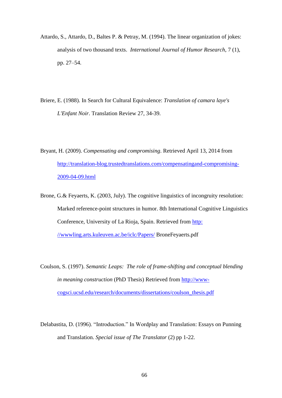- Attardo, S., Attardo, D., Baltes P. & Petray, M. (1994). The linear organization of jokes: analysis of two thousand texts. *International Journal of Humor Research*, 7 (1), pp. 27–54.
- Briere, E. (1988). In Search for Cultural Equivalence: *Translation of camara laye's L'Enfant Noir*. Translation Review 27, 34-39.
- Bryant, H. (2009). *Compensating and compromising*. Retrieved April 13, 2014 from [http://translation-blog.trustedtranslations.com/compensatingand-compromising-](http://translation-blog.trustedtranslations.com/compensatingand-compromising-2009-04-09.html)[2009-04-09.html](http://translation-blog.trustedtranslations.com/compensatingand-compromising-2009-04-09.html)
- Brone, G.& Feyaerts, K. (2003, July). The cognitive linguistics of incongruity resolution: Marked reference-point structures in humor. 8th International Cognitive Linguistics Conference, University of La Rioja, Spain. Retrieved from [http:](http://wwwling.arts.kuleuven.ac.be/iclc/Papers/)  [//wwwling.arts.kuleuven.ac.be/iclc/Papers/](http://wwwling.arts.kuleuven.ac.be/iclc/Papers/) BroneFeyaerts.pdf
- Coulson, S. (1997). *Semantic Leaps: The role of frame-shifting and conceptual blending in meaning construction* (PhD Thesis) Retrieved from [http://www](http://www-cogsci.ucsd.edu/research/documents/dissertations/coulson_thesis.pdf)[cogsci.ucsd.edu/research/documents/dissertations/coulson\\_thesis.pdf](http://www-cogsci.ucsd.edu/research/documents/dissertations/coulson_thesis.pdf)
- Delabastita, D. (1996). "Introduction." In Wordplay and Translation: Essays on Punning and Translation. *Special issue of The Translator* (2) pp 1-22.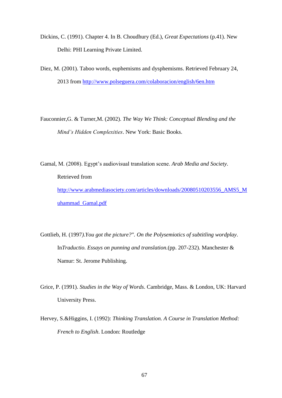- Dickins, C. (1991). Chapter 4. In B. Choudhury (Ed.), *Great Expectations* (p.41). New Delhi: PHI Learning Private Limited.
- Diez, M. (2001). Taboo words, euphemisms and dysphemisms. Retrieved February 24, 2013 from<http://www.polseguera.com/colaboracion/english/6en.htm>
- Fauconnier,G. & Turner,M. (2002). *The Way We Think: Conceptual Blending and the Mind's Hidden Complexities*. New York: Basic Books.
- Gamal, M. (2008). Egypt"s audiovisual translation scene. *Arab Media and Society*. Retrieved from [http://www.arabmediasociety.com/articles/downloads/20080510203556\\_AMS5\\_M](http://www.arabmediasociety.com/articles/downloads/20080510203556_AMS5_Muhammad_Gamal.pdf) [uhammad\\_Gamal.pdf](http://www.arabmediasociety.com/articles/downloads/20080510203556_AMS5_Muhammad_Gamal.pdf)
- Gottlieb, H. (1997*).You got the picture?". On the Polysemiotics of subtitling wordplay*. In*Traductio. Essays on punning and translation.*(pp. 207-232). Manchester & Namur: St. Jerome Publishing.
- Grice, P. (1991). *Studies in the Way of Words*. Cambridge, Mass. & London, UK: Harvard University Press.
- Hervey, S.&Higgins, I. (1992): *Thinking Translation. A Course in Translation Method: French to English*. London: Routledge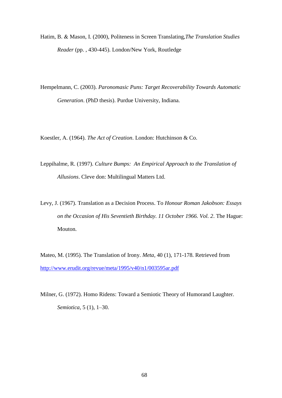- Hatim, B. & Mason, I. (2000), Politeness in Screen Translating,*The Translation Studies Reader* (pp. , 430-445). London/New York, Routledge
- Hempelmann, C. (2003). *Paronomasic Puns: Target Recoverability Towards Automatic Generation*. (PhD thesis). Purdue University, Indiana.

Koestler, A. (1964). *The Act of Creation*. London: Hutchinson & Co.

- Leppihalme, R. (1997). *Culture Bumps: An Empirical Approach to the Translation of Allusions*. Cleve don: Multilingual Matters Ltd.
- Levy, J. (1967). Translation as a Decision Process. To *Honour Roman Jakobson: Essays on the Occasion of His Seventieth Birthday. 11 October 1966. Vol. 2*. The Hague: Mouton.
- Mateo, M. (1995). The Translation of Irony. *Meta,* 40 (1), 171-178. Retrieved from <http://www.erudit.org/revue/meta/1995/v40/n1/003595ar.pdf>
- Milner, G. (1972). Homo Ridens: Toward a Semiotic Theory of Humorand Laughter. *Semiotica,* 5 (1), 1–30.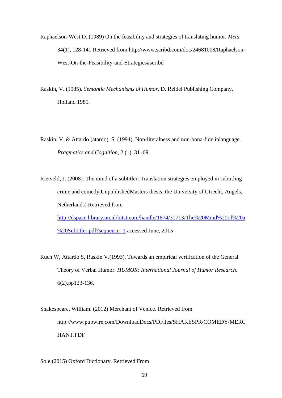- Raphaelson-West,D. (1989) On the feasibility and strategies of translating humor. *Meta*  34(1), 128-141 Retrieved from http://www.scribd.com/doc/24681008/Raphaelson-West-On-the-Feasibility-and-Strategies#scribd
- Raskin, V. (1985). *Semantic Mechanisms of Humor*. D. Reidel Publishing Company, Holland 1985.
- Raskin, V. & Attardo (atardo), S. (1994). Non-literalness and non-bona-fide inlanguage. *Pragmatics and Cognition*, 2 (1), 31–69.
- Rietveld, J. (2008). The mind of a subtitler: Translation strategies employed in subtitling crime and comedy.UnpublishedMasters thesis, the University of Utrecht, Angels, Netherlands) Retrieved from [http://dspace.library.uu.nl/bitstream/handle/1874/31713/The%20Mind%20of%20a](http://dspace.library.uu.nl/bitstream/handle/1874/31713/The%20Mind%20of%20a%20Subtitler.pdf?sequence=1) [%20Subtitler.pdf?sequence=1](http://dspace.library.uu.nl/bitstream/handle/1874/31713/The%20Mind%20of%20a%20Subtitler.pdf?sequence=1) accessed June, 2015
- Ruch W, Attardo S, Raskin V.(1993). Towards an empirical verification of the General Theory of Verbal Humor. *HUMOR: International Journal of Humor Research*. 6(2),pp123-136.
- Shakespeare, William. (2012) Merchant of Venice. Retrieved from http://www.pubwire.com/DownloadDocs/PDFiles/SHAKESPR/COMEDY/MERC HANT.PDF

## Sole.(2015) Oxford Dictionary. Retrieved From